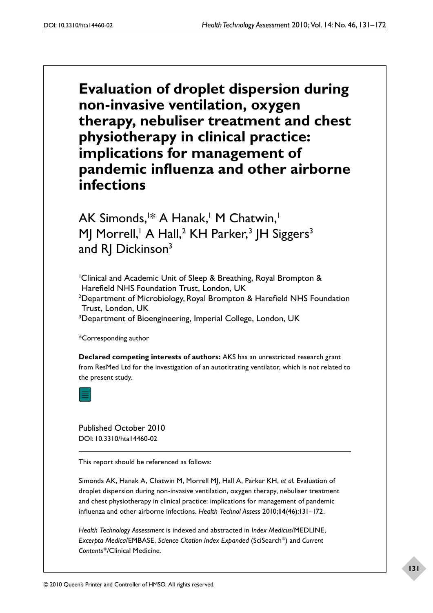**Evaluation of droplet dispersion during non-invasive ventilation, oxygen therapy, nebuliser treatment and chest physiotherapy in clinical practice: implications for management of pandemic influenza and other airborne infections**

AK Simonds,<sup>1\*</sup> A Hanak,<sup>1</sup> M Chatwin,<sup>1</sup> MJ Morrell,' A Hall,<sup>2</sup> KH Parker,<sup>3</sup> JH Siggers<sup>3</sup> and RJ Dickinson<sup>3</sup>

1 Clinical and Academic Unit of Sleep & Breathing, Royal Brompton & Harefield NHS Foundation Trust, London, UK <sup>2</sup>Department of Microbiology, Royal Brompton & Harefield NHS Foundation Trust, London, UK <sup>3</sup>Department of Bioengineering, Imperial College, London, UK

\*Corresponding author

**Declared competing interests of authors:** AKS has an unrestricted research grant from ResMed Ltd for the investigation of an autotitrating ventilator, which is not related to the present study.

Published October 2010 DOI: 10.3310/hta14460-02

This report should be referenced as follows:

Simonds AK, Hanak A, Chatwin M, Morrell MJ, Hall A, Parker KH, *et al.* Evaluation of droplet dispersion during non-invasive ventilation, oxygen therapy, nebuliser treatment and chest physiotherapy in clinical practice: implications for management of pandemic influenza and other airborne infections. *Health Technol Assess* 2010;**14**(46):131–172.

*Health Technology Assessment* is indexed and abstracted in *Index Medicus*/MEDLINE, *Excerpta Medica/EMBASE, Science Citation Index Expanded* (SciSearch®) and *Current Contents*/Clinical Medicine.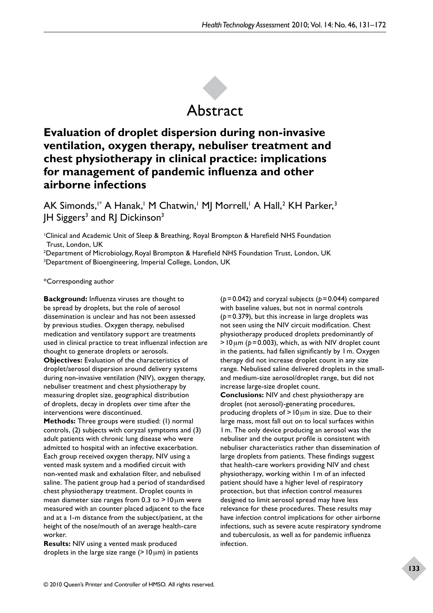

# **Evaluation of droplet dispersion during non-invasive ventilation, oxygen therapy, nebuliser treatment and chest physiotherapy in clinical practice: implications for management of pandemic influenza and other airborne infections**

AK Simonds,1\* A Hanak,' M Chatwin,' MJ Morrell,' A Hall,<sup>2</sup> KH Parker,<sup>3</sup> JH Siggers<sup>3</sup> and RJ Dickinson<sup>3</sup>

1 Clinical and Academic Unit of Sleep & Breathing, Royal Brompton & Harefield NHS Foundation Trust, London, UK

2 Department of Microbiology, Royal Brompton & Harefield NHS Foundation Trust, London, UK 3 Department of Bioengineering, Imperial College, London, UK

#### \*Corresponding author

**Background:** Influenza viruses are thought to be spread by droplets, but the role of aerosol dissemination is unclear and has not been assessed by previous studies. Oxygen therapy, nebulised medication and ventilatory support are treatments used in clinical practice to treat influenzal infection are thought to generate droplets or aerosols.

**Objectives:** Evaluation of the characteristics of droplet/aerosol dispersion around delivery systems during non-invasive ventilation (NIV), oxygen therapy, nebuliser treatment and chest physiotherapy by measuring droplet size, geographical distribution of droplets, decay in droplets over time after the interventions were discontinued.

**Methods:** Three groups were studied: (1) normal controls, (2) subjects with coryzal symptoms and (3) adult patients with chronic lung disease who were admitted to hospital with an infective exacerbation. Each group received oxygen therapy, NIV using a vented mask system and a modified circuit with non-vented mask and exhalation filter, and nebulised saline. The patient group had a period of standardised chest physiotherapy treatment. Droplet counts in mean diameter size ranges from 0.3 to  $>10 \mu m$  were measured with an counter placed adjacent to the face and at a 1-m distance from the subject/patient, at the height of the nose/mouth of an average health-care worker.

**Results:** NIV using a vented mask produced droplets in the large size range  $(>10 \,\mu m)$  in patients

(*p*=0.042) and coryzal subjects (*p*=0.044) compared with baseline values, but not in normal controls (*p*=0.379), but this increase in large droplets was not seen using the NIV circuit modification. Chest physiotherapy produced droplets predominantly of  $>10 \mu m$  ( $p = 0.003$ ), which, as with NIV droplet count in the patients, had fallen significantly by 1m. Oxygen therapy did not increase droplet count in any size range. Nebulised saline delivered droplets in the smalland medium-size aerosol/droplet range, but did not increase large-size droplet count. **Conclusions:** NIV and chest physiotherapy are droplet (not aerosol)-generating procedures,

producing droplets of >10µm in size. Due to their large mass, most fall out on to local surfaces within 1m. The only device producing an aerosol was the nebuliser and the output profile is consistent with nebuliser characteristics rather than dissemination of large droplets from patients. These findings suggest that health-care workers providing NIV and chest physiotherapy, working within 1m of an infected patient should have a higher level of respiratory protection, but that infection control measures designed to limit aerosol spread may have less relevance for these procedures. These results may have infection control implications for other airborne infections, such as severe acute respiratory syndrome and tuberculosis, as well as for pandemic influenza infection.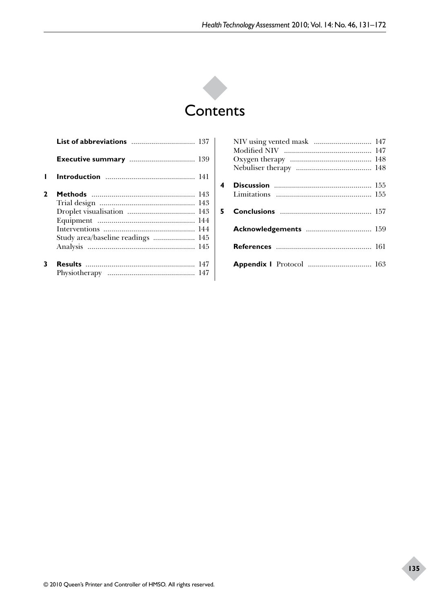

| 2 |                                   |  |
|---|-----------------------------------|--|
|   |                                   |  |
|   |                                   |  |
|   |                                   |  |
|   |                                   |  |
|   | Study area/baseline readings  145 |  |
|   |                                   |  |
| 3 |                                   |  |
|   |                                   |  |

| 4 |                                 |  |
|---|---------------------------------|--|
|   |                                 |  |
|   |                                 |  |
|   |                                 |  |
|   |                                 |  |
|   | Acknowledgements  159           |  |
|   |                                 |  |
|   |                                 |  |
|   |                                 |  |
|   | <b>Appendix I</b> Protocol  163 |  |
|   |                                 |  |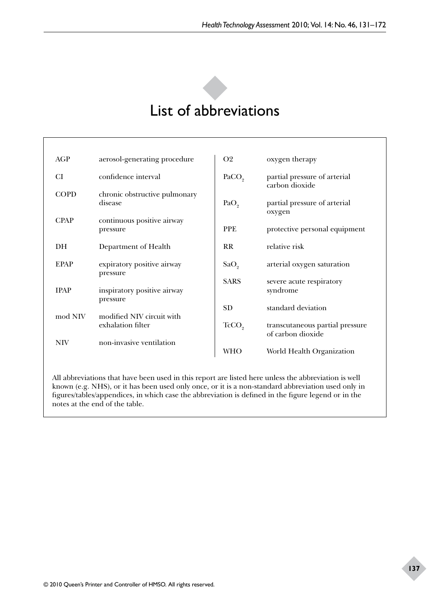# List of abbreviations

| AGP         | aerosol-generating procedure                   | O <sub>2</sub>    | oxygen therapy                                       |
|-------------|------------------------------------------------|-------------------|------------------------------------------------------|
| CI          | confidence interval                            | PACO <sub>2</sub> | partial pressure of arterial<br>carbon dioxide       |
| <b>COPD</b> | chronic obstructive pulmonary<br>disease       | PaO <sub>2</sub>  | partial pressure of arterial<br>oxygen               |
| <b>CPAP</b> | continuous positive airway<br>pressure         | <b>PPE</b>        | protective personal equipment                        |
| DH.         | Department of Health                           | <b>RR</b>         | relative risk                                        |
| <b>EPAP</b> | expiratory positive airway<br>pressure         | SaO <sub>2</sub>  | arterial oxygen saturation                           |
| <b>IPAP</b> | inspiratory positive airway<br>pressure        | <b>SARS</b>       | severe acute respiratory<br>syndrome                 |
|             |                                                | <b>SD</b>         | standard deviation                                   |
| mod NIV     | modified NIV circuit with<br>exhalation filter | TcCO <sub>9</sub> | transcutaneous partial pressure<br>of carbon dioxide |
| <b>NIV</b>  | non-invasive ventilation                       | <b>WHO</b>        | World Health Organization                            |

All abbreviations that have been used in this report are listed here unless the abbreviation is well known (e.g. NHS), or it has been used only once, or it is a non-standard abbreviation used only in figures/tables/appendices, in which case the abbreviation is defined in the figure legend or in the notes at the end of the table.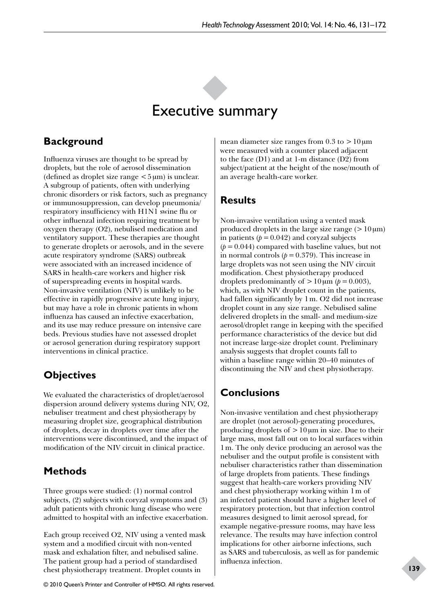# Executive summary

# **Background**

Influenza viruses are thought to be spread by droplets, but the role of aerosol dissemination (defined as droplet size range  $\lt 5 \mu m$ ) is unclear. A subgroup of patients, often with underlying chronic disorders or risk factors, such as pregnancy or immunosuppression, can develop pneumonia/ respiratory insufficiency with H1N1 swine flu or other influenzal infection requiring treatment by oxygen therapy (O2), nebulised medication and ventilatory support. These therapies are thought to generate droplets or aerosols, and in the severe acute respiratory syndrome (SARS) outbreak were associated with an increased incidence of SARS in health-care workers and higher risk of superspreading events in hospital wards. Non-invasive ventilation (NIV) is unlikely to be effective in rapidly progressive acute lung injury, but may have a role in chronic patients in whom influenza has caused an infective exacerbation, and its use may reduce pressure on intensive care beds. Previous studies have not assessed droplet or aerosol generation during respiratory support interventions in clinical practice.

# **Objectives**

We evaluated the characteristics of droplet/aerosol dispersion around delivery systems during NIV, O2, nebuliser treatment and chest physiotherapy by measuring droplet size, geographical distribution of droplets, decay in droplets over time after the interventions were discontinued, and the impact of modification of the NIV circuit in clinical practice.

# **Methods**

Three groups were studied: (1) normal control subjects, (2) subjects with coryzal symptoms and (3) adult patients with chronic lung disease who were admitted to hospital with an infective exacerbation.

Each group received O2, NIV using a vented mask system and a modified circuit with non-vented mask and exhalation filter, and nebulised saline. The patient group had a period of standardised chest physiotherapy treatment. Droplet counts in

mean diameter size ranges from  $0.3$  to  $>10 \,\mu m$ were measured with a counter placed adjacent to the face (D1) and at 1-m distance (D2) from subject/patient at the height of the nose/mouth of an average health-care worker.

# **Results**

Non-invasive ventilation using a vented mask produced droplets in the large size range ( $>10\,\mu$ m) in patients  $(p = 0.042)$  and coryzal subjects  $(p=0.044)$  compared with baseline values, but not in normal controls  $(p = 0.379)$ . This increase in large droplets was not seen using the NIV circuit modification. Chest physiotherapy produced droplets predominantly of  $>10 \mu m$  ( $p = 0.003$ ), which, as with NIV droplet count in the patients, had fallen significantly by 1m. O2 did not increase droplet count in any size range. Nebulised saline delivered droplets in the small- and medium-size aerosol/droplet range in keeping with the specified performance characteristics of the device but did not increase large-size droplet count. Preliminary analysis suggests that droplet counts fall to within a baseline range within 20–40 minutes of discontinuing the NIV and chest physiotherapy.

# **Conclusions**

Non-invasive ventilation and chest physiotherapy are droplet (not aerosol)-generating procedures, producing droplets of  $>10 \mu m$  in size. Due to their large mass, most fall out on to local surfaces within 1m. The only device producing an aerosol was the nebuliser and the output profile is consistent with nebuliser characteristics rather than dissemination of large droplets from patients. These findings suggest that health-care workers providing NIV and chest physiotherapy working within 1m of an infected patient should have a higher level of respiratory protection, but that infection control measures designed to limit aerosol spread, for example negative-pressure rooms, may have less relevance. The results may have infection control implications for other airborne infections, such as SARS and tuberculosis, as well as for pandemic influenza infection.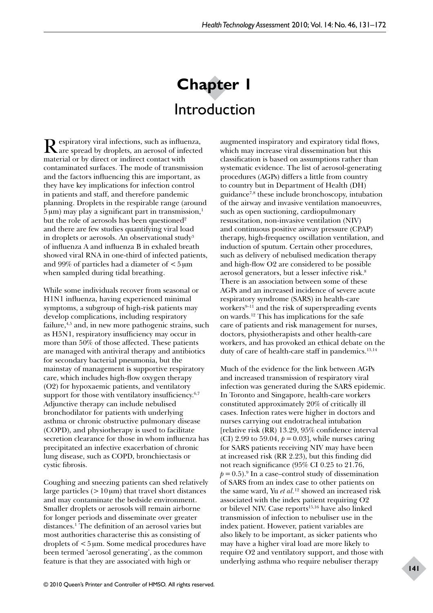# **Chapter 1**  Introduction

Respiratory viral infections, such as influenza, are spread by droplets, an aerosol of infected material or by direct or indirect contact with contaminated surfaces. The mode of transmission and the factors influencing this are important, as they have key implications for infection control in patients and staff, and therefore pandemic planning. Droplets in the respirable range (around  $5 \mu m$ ) may play a significant part in transmission,<sup>1</sup> but the role of aerosols has been questioned<sup>2</sup> and there are few studies quantifying viral load in droplets or aerosols. An observational study<sup>3</sup> of influenza A and influenza B in exhaled breath showed viral RNA in one-third of infected patients, and 99% of particles had a diameter of  $<$  5  $\mu$ m when sampled during tidal breathing.

While some individuals recover from seasonal or H1N1 influenza, having experienced minimal symptoms, a subgroup of high-risk patients may develop complications, including respiratory failure, $4,5$  and, in new more pathogenic strains, such as H5N1, respiratory insufficiency may occur in more than 50% of those affected. These patients are managed with antiviral therapy and antibiotics for secondary bacterial pneumonia, but the mainstay of management is supportive respiratory care, which includes high-flow oxygen therapy (O2) for hypoxaemic patients, and ventilatory support for those with ventilatory insufficiency.<sup>6,7</sup> Adjunctive therapy can include nebulised bronchodilator for patients with underlying asthma or chronic obstructive pulmonary disease (COPD), and physiotherapy is used to facilitate secretion clearance for those in whom influenza has precipitated an infective exacerbation of chronic lung disease, such as COPD, bronchiectasis or cystic fibrosis.

Coughing and sneezing patients can shed relatively large particles  $(>10 \,\mu m)$  that travel short distances and may contaminate the bedside environment. Smaller droplets or aerosols will remain airborne for longer periods and disseminate over greater distances.<sup>1</sup> The definition of an aerosol varies but most authorities characterise this as consisting of droplets of <5µm. Some medical procedures have been termed 'aerosol generating', as the common feature is that they are associated with high or

augmented inspiratory and expiratory tidal flows, which may increase viral dissemination but this classification is based on assumptions rather than systematic evidence. The list of aerosol-generating procedures (AGPs) differs a little from country to country but in Department of Health (DH) guidance7,8 these include bronchoscopy, intubation of the airway and invasive ventilation manoeuvres, such as open suctioning, cardiopulmonary resuscitation, non-invasive ventilation (NIV) and continuous positive airway pressure (CPAP) therapy, high-frequency oscillation ventilation, and induction of sputum. Certain other procedures, such as delivery of nebulised medication therapy and high-flow O2 are considered to be possible aerosol generators, but a lesser infective risk.8 There is an association between some of these AGPs and an increased incidence of severe acute respiratory syndrome (SARS) in health-care workers<sup>9-11</sup> and the risk of superspreading events on wards.12 This has implications for the safe care of patients and risk management for nurses, doctors, physiotherapists and other health-care workers, and has provoked an ethical debate on the duty of care of health-care staff in pandemics.<sup>13,14</sup>

Much of the evidence for the link between AGPs and increased transmission of respiratory viral infection was generated during the SARS epidemic. In Toronto and Singapore, health-care workers constituted approximately 20% of critically ill cases. Infection rates were higher in doctors and nurses carrying out endotracheal intubation [relative risk (RR) 13.29, 95% confidence interval (CI) 2.99 to 59.04,  $p = 0.03$ ], while nurses caring for SARS patients receiving NIV may have been at increased risk (RR 2.23), but this finding did not reach significance (95% CI 0.25 to 21.76,  $p = 0.5$ ).<sup>9</sup> In a case–control study of dissemination of SARS from an index case to other patients on the same ward, Yu *et al.*12 showed an increased risk associated with the index patient requiring O2 or bilevel NIV. Case reports<sup>15,16</sup> have also linked transmission of infection to nebuliser use in the index patient. However, patient variables are also likely to be important, as sicker patients who may have a higher viral load are more likely to require O2 and ventilatory support, and those with underlying asthma who require nebuliser therapy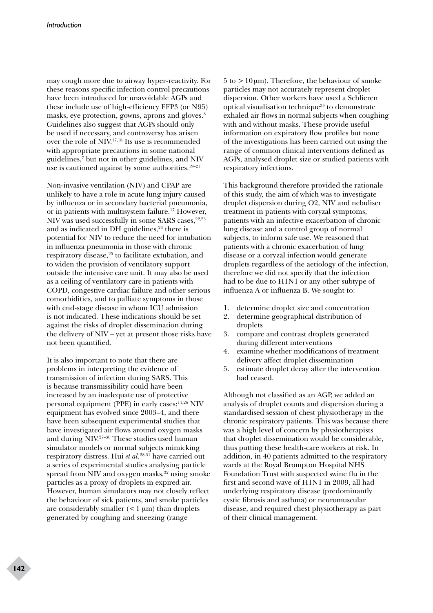may cough more due to airway hyper-reactivity. For these reasons specific infection control precautions have been introduced for unavoidable AGPs and these include use of high-efficiency FFP3 (or N95) masks, eye protection, gowns, aprons and gloves.<sup>8</sup> Guidelines also suggest that AGPs should only be used if necessary, and controversy has arisen over the role of NIV.17,18 Its use is recommended with appropriate precautions in some national guidelines,7 but not in other guidelines, and NIV use is cautioned against by some authorities.<sup>19-21</sup>

Non-invasive ventilation (NIV) and CPAP are unlikely to have a role in acute lung injury caused by influenza or in secondary bacterial pneumonia, or in patients with multisystem failure.<sup>17</sup> However, NIV was used successfully in some SARS cases, $22,23$ and as indicated in DH guidelines, $24$  there is potential for NIV to reduce the need for intubation in influenza pneumonia in those with chronic respiratory disease,<sup>25</sup> to facilitate extubation, and to widen the provision of ventilatory support outside the intensive care unit. It may also be used as a ceiling of ventilatory care in patients with COPD, congestive cardiac failure and other serious comorbidities, and to palliate symptoms in those with end-stage disease in whom ICU admission is not indicated. These indications should be set against the risks of droplet dissemination during the delivery of NIV – yet at present those risks have not been quantified.

It is also important to note that there are problems in interpreting the evidence of transmission of infection during SARS. This is because transmissibility could have been increased by an inadequate use of protective personal equipment (PPE) in early cases; $^{11,26}$  NIV equipment has evolved since 2003–4, and there have been subsequent experimental studies that have investigated air flows around oxygen masks and during NIV.27–30 These studies used human simulator models or normal subjects mimicking respiratory distress. Hui *et al.*28,31 have carried out a series of experimental studies analysing particle spread from NIV and oxygen masks, $32$  using smoke particles as a proxy of droplets in expired air. However, human simulators may not closely reflect the behaviour of sick patients, and smoke particles are considerably smaller  $(< 1 \text{ um})$  than droplets generated by coughing and sneezing (range

 $5$  to  $>10 \mu m$ ). Therefore, the behaviour of smoke particles may not accurately represent droplet dispersion. Other workers have used a Schlieren optical visualisation technique<sup>33</sup> to demonstrate exhaled air flows in normal subjects when coughing with and without masks. These provide useful information on expiratory flow profiles but none of the investigations has been carried out using the range of common clinical interventions defined as AGPs, analysed droplet size or studied patients with respiratory infections.

This background therefore provided the rationale of this study, the aim of which was to investigate droplet dispersion during O2, NIV and nebuliser treatment in patients with coryzal symptoms, patients with an infective exacerbation of chronic lung disease and a control group of normal subjects, to inform safe use. We reasoned that patients with a chronic exacerbation of lung disease or a coryzal infection would generate droplets regardless of the aetiology of the infection, therefore we did not specify that the infection had to be due to H1N1 or any other subtype of influenza A or influenza B. We sought to:

- 1. determine droplet size and concentration
- 2. determine geographical distribution of droplets
- 3. compare and contrast droplets generated during different interventions
- 4. examine whether modifications of treatment delivery affect droplet dissemination
- 5. estimate droplet decay after the intervention had ceased.

Although not classified as an AGP, we added an analysis of droplet counts and dispersion during a standardised session of chest physiotherapy in the chronic respiratory patients. This was because there was a high level of concern by physiotherapists that droplet dissemination would be considerable, thus putting these health-care workers at risk. In addition, in 40 patients admitted to the respiratory wards at the Royal Brompton Hospital NHS Foundation Trust with suspected swine flu in the first and second wave of H1N1 in 2009, all had underlying respiratory disease (predominantly cystic fibrosis and asthma) or neuromuscular disease, and required chest physiotherapy as part of their clinical management.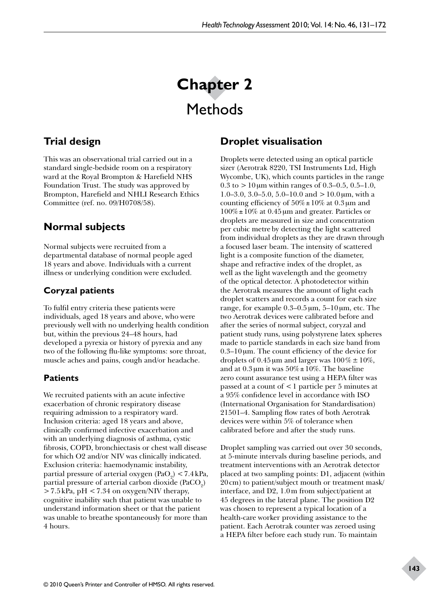# **Chapter 2**  Methods

# **Trial design**

This was an observational trial carried out in a standard single-bedside room on a respiratory ward at the Royal Brompton & Harefield NHS Foundation Trust. The study was approved by Brompton, Harefield and NHLI Research Ethics Committee (ref. no. 09/H0708/58).

# **Normal subjects**

Normal subjects were recruited from a departmental database of normal people aged 18 years and above. Individuals with a current illness or underlying condition were excluded.

# **Coryzal patients**

To fulfil entry criteria these patients were individuals, aged 18 years and above, who were previously well with no underlying health condition but, within the previous 24–48 hours, had developed a pyrexia or history of pyrexia and any two of the following flu-like symptoms: sore throat, muscle aches and pains, cough and/or headache.

# **Patients**

We recruited patients with an acute infective exacerbation of chronic respiratory disease requiring admission to a respiratory ward. Inclusion criteria: aged 18 years and above, clinically confirmed infective exacerbation and with an underlying diagnosis of asthma, cystic fibrosis, COPD, bronchiectasis or chest wall disease for which O2 and/or NIV was clinically indicated. Exclusion criteria: haemodynamic instability, partial pressure of arterial oxygen (PaO<sub>2</sub>)  $< 7.4$  kPa, partial pressure of arterial carbon dioxide  $(\text{PaCO}_2)$  $>$  7.5 kPa, pH  $<$  7.34 on oxygen/NIV therapy, cognitive inability such that patient was unable to understand information sheet or that the patient was unable to breathe spontaneously for more than 4 hours.

# **Droplet visualisation**

Droplets were detected using an optical particle sizer (Aerotrak 8220, TSI Instruments Ltd, High Wycombe, UK), which counts particles in the range 0.3 to  $>10 \mu m$  within ranges of 0.3–0.5, 0.5–1.0, 1.0–3.0, 3.0–5.0, 5.0–10.0 and  $>10.0 \mu$ m, with a counting efficiency of  $50\% \pm 10\%$  at 0.3 µm and 100%±10% at 0.45µm and greater. Particles or droplets are measured in size and concentration per cubic metre by detecting the light scattered from individual droplets as they are drawn through a focused laser beam. The intensity of scattered light is a composite function of the diameter, shape and refractive index of the droplet, as well as the light wavelength and the geometry of the optical detector. A photodetector within the Aerotrak measures the amount of light each droplet scatters and records a count for each size range, for example  $0.3-0.5 \,\mu m$ ,  $5-10 \,\mu m$ , etc. The two Aerotrak devices were calibrated before and after the series of normal subject, coryzal and patient study runs, using polystyrene latex spheres made to particle standards in each size band from 0.3–10µm. The count efficiency of the device for droplets of 0.45 µm and larger was  $100\% \pm 10\%$ , and at  $0.3 \mu m$  it was  $50\% \pm 10\%$ . The baseline zero count assurance test using a HEPA filter was passed at a count of <1 particle per 5 minutes at a 95% confidence level in accordance with ISO (International Organisation for Standardisation) 21501–4. Sampling flow rates of both Aerotrak devices were within 5% of tolerance when calibrated before and after the study runs.

Droplet sampling was carried out over 30 seconds, at 5-minute intervals during baseline periods, and treatment interventions with an Aerotrak detector placed at two sampling points: D1, adjacent (within 20cm) to patient/subject mouth or treatment mask/ interface, and D2, 1.0m from subject/patient at 45 degrees in the lateral plane. The position D2 was chosen to represent a typical location of a health-care worker providing assistance to the patient. Each Aerotrak counter was zeroed using a HEPA filter before each study run. To maintain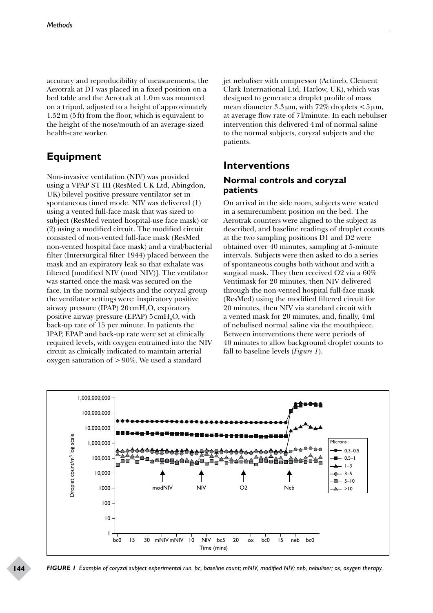accuracy and reproducibility of measurements, the Aerotrak at D1 was placed in a fixed position on a bed table and the Aerotrak at 1.0m was mounted on a tripod, adjusted to a height of approximately 1.52m (5ft) from the floor, which is equivalent to the height of the nose/mouth of an average-sized health-care worker.

# **Equipment**

Non-invasive ventilation (NIV) was provided using a VPAP ST III (ResMed UK Ltd, Abingdon, UK) bilevel positive pressure ventilator set in spontaneous timed mode. NIV was delivered (1) using a vented full-face mask that was sized to subject (ResMed vented hospital-use face mask) or (2) using a modified circuit. The modified circuit consisted of non-vented full-face mask (ResMed non-vented hospital face mask) and a viral/bacterial filter (Intersurgical filter 1944) placed between the mask and an expiratory leak so that exhalate was filtered [modified NIV (mod NIV)]. The ventilator was started once the mask was secured on the face. In the normal subjects and the coryzal group the ventilator settings were: inspiratory positive airway pressure (IPAP)  $20 \text{cm} + \text{H}_2$ O, expiratory positive airway pressure (EPAP)  $5 \text{cm} \text{H}_{2}\text{O}$ , with back-up rate of 15 per minute. In patients the IPAP, EPAP and back-up rate were set at clinically required levels, with oxygen entrained into the NIV circuit as clinically indicated to maintain arterial oxygen saturation of >90%. We used a standard

jet nebuliser with compressor (Actineb, Clement Clark International Ltd, Harlow, UK), which was designed to generate a droplet profile of mass mean diameter  $3.3 \mu m$ , with  $72\%$  droplets  $< 5 \mu m$ , at average flow rate of 7l/minute. In each nebuliser intervention this delivered 4ml of normal saline to the normal subjects, coryzal subjects and the patients.

# **Interventions Normal controls and coryzal patients**

On arrival in the side room, subjects were seated in a semirecumbent position on the bed. The Aerotrak counters were aligned to the subject as described, and baseline readings of droplet counts at the two sampling positions D1 and D2 were obtained over 40 minutes, sampling at 5*-*minute intervals. Subjects were then asked to do a series of spontaneous coughs both without and with a surgical mask. They then received O2 via a 60% Ventimask for 20 minutes, then NIV delivered through the non-vented hospital full-face mask (ResMed) using the modified filtered circuit for 20 minutes, then NIV via standard circuit with a vented mask for 20 minutes, and, finally, 4ml of nebulised normal saline via the mouthpiece. Between interventions there were periods of 40 minutes to allow background droplet counts to fall to baseline levels (*Figure 1*).



*FIGURE 1 Example of coryzal subject experimental run. bc, baseline count; mNIV, modified NIV; neb, nebuliser; ox, oxygen therapy.*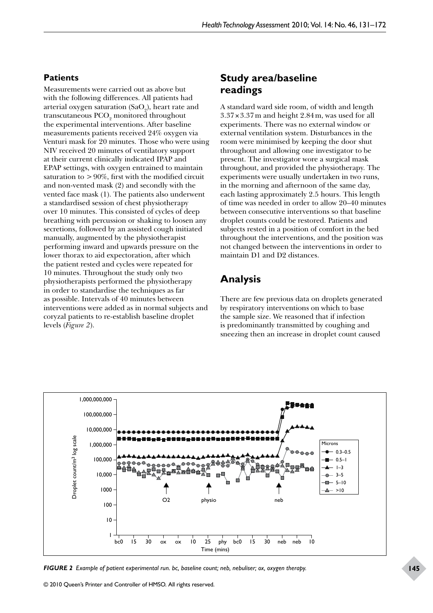# **Patients**

Measurements were carried out as above but with the following differences. All patients had arterial oxygen saturation (SaO<sub>2</sub>), heart rate and transcutaneous  $\text{PCO}_2$  monitored throughout the experimental interventions. After baseline measurements patients received 24% oxygen via Venturi mask for 20 minutes. Those who were using NIV received 20 minutes of ventilatory support at their current clinically indicated IPAP and EPAP settings, with oxygen entrained to maintain saturation to  $> 90\%$ , first with the modified circuit and non-vented mask (2) and secondly with the vented face mask (1). The patients also underwent a standardised session of chest physiotherapy over 10 minutes. This consisted of cycles of deep breathing with percussion or shaking to loosen any secretions, followed by an assisted cough initiated manually, augmented by the physiotherapist performing inward and upwards pressure on the lower thorax to aid expectoration, after which the patient rested and cycles were repeated for 10 minutes. Throughout the study only two physiotherapists performed the physiotherapy in order to standardise the techniques as far as possible. Intervals of 40 minutes between interventions were added as in normal subjects and coryzal patients to re-establish baseline droplet levels (*Figure 2*).

# **Study area/baseline readings**

A standard ward side room, of width and length 3.37×3.37m and height 2.84m, was used for all experiments. There was no external window or external ventilation system. Disturbances in the room were minimised by keeping the door shut throughout and allowing one investigator to be present. The investigator wore a surgical mask throughout, and provided the physiotherapy. The experiments were usually undertaken in two runs, in the morning and afternoon of the same day, each lasting approximately 2.5 hours. This length of time was needed in order to allow 20–40 minutes between consecutive interventions so that baseline droplet counts could be restored. Patients and subjects rested in a position of comfort in the bed throughout the interventions, and the position was not changed between the interventions in order to maintain D1 and D2 distances.

# **Analysis**

There are few previous data on droplets generated by respiratory interventions on which to base the sample size. We reasoned that if infection is predominantly transmitted by coughing and sneezing then an increase in droplet count caused



*FIGURE 2 Example of patient experimental run. bc, baseline count; neb, nebuliser; ox, oxygen therapy.*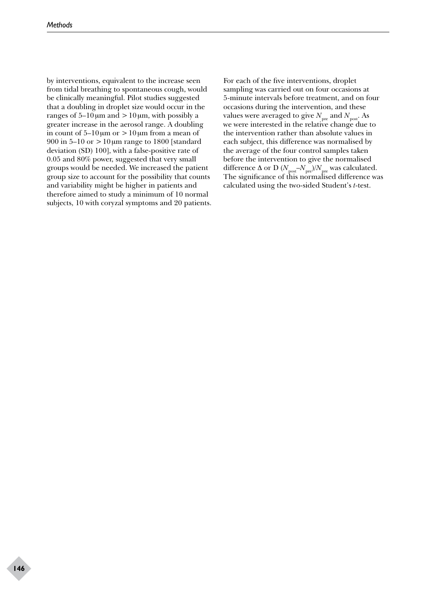by interventions, equivalent to the increase seen from tidal breathing to spontaneous cough, would be clinically meaningful. Pilot studies suggested that a doubling in droplet size would occur in the ranges of  $5-10 \mu m$  and  $>10 \mu m$ , with possibly a greater increase in the aerosol range. A doubling in count of  $5-10 \mu m$  or  $>10 \mu m$  from a mean of 900 in  $5-10$  or  $>10 \mu m$  range to 1800 [standard deviation (SD) 100], with a false-positive rate of 0.05 and 80% power, suggested that very small groups would be needed. We increased the patient group size to account for the possibility that counts and variability might be higher in patients and therefore aimed to study a minimum of 10 normal subjects, 10 with coryzal symptoms and 20 patients.

For each of the five interventions, droplet sampling was carried out on four occasions at 5-minute intervals before treatment, and on four occasions during the intervention, and these values were averaged to give  $N_{\textrm{\tiny pre}}$  and  $N_{\textrm{\tiny post}}.$  As we were interested in the relative change due to the intervention rather than absolute values in each subject, this difference was normalised by the average of the four control samples taken before the intervention to give the normalised difference  $\Delta$  or D ( $N_{\text{post}}$ – $N_{\text{pre}}$ )/ $N_{\text{pre}}$  was calculated. The significance of this normalised difference was calculated using the two-sided Student's *t*-test.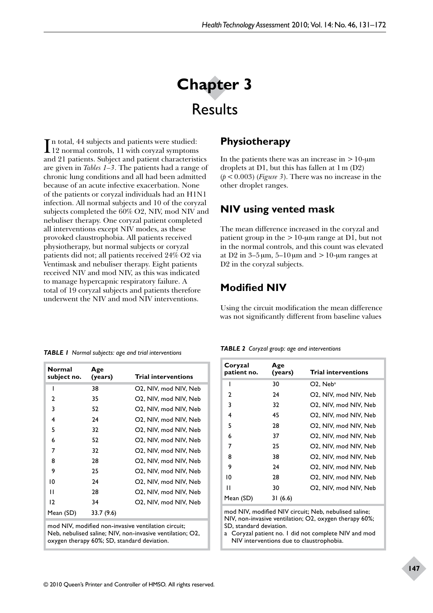# **Chapter 3**  Results

In total, 44 subjects and patients were studied:<br>12 normal controls, 11 with coryzal symptoms 12 normal controls, 11 with coryzal symptoms and 21 patients. Subject and patient characteristics are given in *Tables 1–3*. The patients had a range of chronic lung conditions and all had been admitted because of an acute infective exacerbation. None of the patients or coryzal individuals had an H1N1 infection. All normal subjects and 10 of the coryzal subjects completed the 60% O2, NIV, mod NIV and nebuliser therapy. One coryzal patient completed all interventions except NIV modes, as these provoked claustrophobia. All patients received physiotherapy, but normal subjects or coryzal patients did not; all patients received 24% O2 via Ventimask and nebuliser therapy. Eight patients received NIV and mod NIV, as this was indicated to manage hypercapnic respiratory failure. A total of 19 coryzal subjects and patients therefore underwent the NIV and mod NIV interventions.

# **Physiotherapy**

In the patients there was an increase in  $>10$ -um droplets at D1, but this has fallen at 1m (D2)  $(p < 0.003)$  (*Figure 3*). There was no increase in the other droplet ranges.

# **NIV using vented mask**

The mean difference increased in the coryzal and patient group in the  $>10$ -µm range at D1, but not in the normal controls, and this count was elevated at D2 in  $3-5 \mu m$ ,  $5-10 \mu m$  and  $>10$ - $\mu m$  ranges at D2 in the coryzal subjects.

# **Modified NIV**

Using the circuit modification the mean difference was not significantly different from baseline values

*TABLE 1 Normal subjects: age and trial interventions*

| Normal<br>subject no. | Age<br>(years) | <b>Trial interventions</b> |
|-----------------------|----------------|----------------------------|
| ı                     | 38             | O2, NIV, mod NIV, Neb      |
| 2                     | 35             | O2, NIV, mod NIV, Neb      |
| 3                     | 52             | O2, NIV, mod NIV, Neb      |
| 4                     | 24             | O2, NIV, mod NIV, Neb      |
| 5                     | 32             | O2, NIV, mod NIV, Neb      |
| 6                     | 52             | O2, NIV, mod NIV, Neb      |
| 7                     | 32             | O2, NIV, mod NIV, Neb      |
| 8                     | 28             | O2, NIV, mod NIV, Neb      |
| 9                     | 25             | O2, NIV, mod NIV, Neb      |
| 10                    | 24             | O2, NIV, mod NIV, Neb      |
| п                     | 28             | O2, NIV, mod NIV, Neb      |
| 12                    | 34             | O2, NIV, mod NIV, Neb      |
| Mean (SD)             | 33.7 (9.6)     |                            |

mod NIV, modified non-invasive ventilation circuit; Neb, nebulised saline; NIV, non-invasive ventilation; O2, oxygen therapy 60%; SD, standard deviation.

|  |  |  |  |  | TABLE 2 Coryzal group: age and interventions |
|--|--|--|--|--|----------------------------------------------|
|--|--|--|--|--|----------------------------------------------|

| Coryzal<br>patient no. | Age<br>(years) | <b>Trial interventions</b> |
|------------------------|----------------|----------------------------|
|                        | 30             | $O2$ , Neb <sup>a</sup>    |
| 2                      | 24             | O2. NIV. mod NIV. Neb      |
| 3                      | 32             | O2, NIV, mod NIV, Neb      |
| 4                      | 45             | O2, NIV, mod NIV, Neb      |
| 5                      | 28             | O2, NIV, mod NIV, Neb      |
| 6                      | 37             | O2, NIV, mod NIV, Neb      |
| 7                      | 25             | O2, NIV, mod NIV, Neb      |
| 8                      | 38             | O2, NIV, mod NIV, Neb      |
| 9                      | 24             | O2, NIV, mod NIV, Neb      |
| 10                     | 28             | O2, NIV, mod NIV, Neb      |
| п                      | 30             | O2, NIV, mod NIV, Neb      |
| Mean (SD)              | 31 (6.6)       |                            |

mod NIV, modified NIV circuit; Neb, nebulised saline; NIV, non-invasive ventilation; O2, oxygen therapy 60%; SD, standard deviation.

a Coryzal patient no. 1 did not complete NIV and mod NIV interventions due to claustrophobia.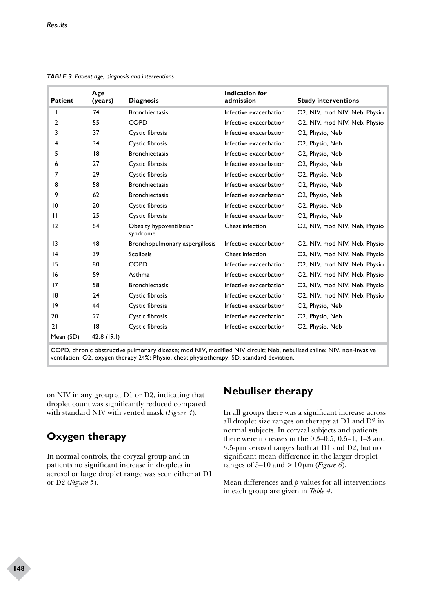| <b>Patient</b>  | Age<br>(years) | <b>Diagnosis</b>                    | <b>Indication for</b><br>admission | <b>Study interventions</b>    |
|-----------------|----------------|-------------------------------------|------------------------------------|-------------------------------|
|                 | 74             | <b>Bronchiectasis</b>               | Infective exacerbation             | O2, NIV, mod NIV, Neb, Physio |
| 2               | 55             | <b>COPD</b>                         | Infective exacerbation             | O2, NIV, mod NIV, Neb, Physio |
| 3               | 37             | Cystic fibrosis                     | Infective exacerbation             | O2, Physio, Neb               |
| 4               | 34             | Cystic fibrosis                     | Infective exacerbation             | O2, Physio, Neb               |
| 5               | 18             | <b>Bronchiectasis</b>               | Infective exacerbation             | O2, Physio, Neb               |
| 6               | 27             | Cystic fibrosis                     | Infective exacerbation             | O2, Physio, Neb               |
| 7               | 29             | Cystic fibrosis                     | Infective exacerbation             | O2, Physio, Neb               |
| 8               | 58             | <b>Bronchiectasis</b>               | Infective exacerbation             | O2, Physio, Neb               |
| 9               | 62             | <b>Bronchiectasis</b>               | Infective exacerbation             | O2, Physio, Neb               |
| 10              | 20             | Cystic fibrosis                     | Infective exacerbation             | O2, Physio, Neb               |
| Ш               | 25             | Cystic fibrosis                     | Infective exacerbation             | O2, Physio, Neb               |
| 12              | 64             | Obesity hypoventilation<br>syndrome | Chest infection                    | O2, NIV, mod NIV, Neb, Physio |
| $\overline{13}$ | 48             | Bronchopulmonary aspergillosis      | Infective exacerbation             | O2, NIV, mod NIV, Neb, Physio |
| 4               | 39             | <b>Scoliosis</b>                    | Chest infection                    | O2, NIV, mod NIV, Neb, Physio |
| 15              | 80             | <b>COPD</b>                         | Infective exacerbation             | O2, NIV, mod NIV, Neb, Physio |
| 16              | 59             | Asthma                              | Infective exacerbation             | O2, NIV, mod NIV, Neb, Physio |
| 17              | 58             | <b>Bronchiectasis</b>               | Infective exacerbation             | O2, NIV, mod NIV, Neb, Physio |
| 18              | 24             | Cystic fibrosis                     | Infective exacerbation             | O2, NIV, mod NIV, Neb, Physio |
| 9               | 44             | Cystic fibrosis                     | Infective exacerbation             | O2, Physio, Neb               |
| 20              | 27             | Cystic fibrosis                     | Infective exacerbation             | O2, Physio, Neb               |
| 21              | 8              | Cystic fibrosis                     | Infective exacerbation             | O2, Physio, Neb               |
| Mean (SD)       | 42.8 (19.1)    |                                     |                                    |                               |

*TABLE 3 Patient age, diagnosis and interventions*

COPD, chronic obstructive pulmonary disease; mod NIV, modified NIV circuit; Neb, nebulised saline; NIV, non-invasive ventilation; O2, oxygen therapy 24%; Physio, chest physiotherapy; SD, standard deviation.

on NIV in any group at D1 or D2, indicating that droplet count was significantly reduced compared with standard NIV with vented mask (*Figure 4*).

# **Oxygen therapy**

In normal controls, the coryzal group and in patients no significant increase in droplets in aerosol or large droplet range was seen either at D1 or D2 (*Figure 5*).

# **Nebuliser therapy**

In all groups there was a significant increase across all droplet size ranges on therapy at D1 and D2 in normal subjects. In coryzal subjects and patients there were increases in the 0.3–0.5, 0.5–1, 1–3 and 3.5-µm aerosol ranges both at D1 and D2, but no significant mean difference in the larger droplet ranges of 5–10 and >10µm (*Figure 6*).

Mean differences and *p*-values for all interventions in each group are given in *Table 4*.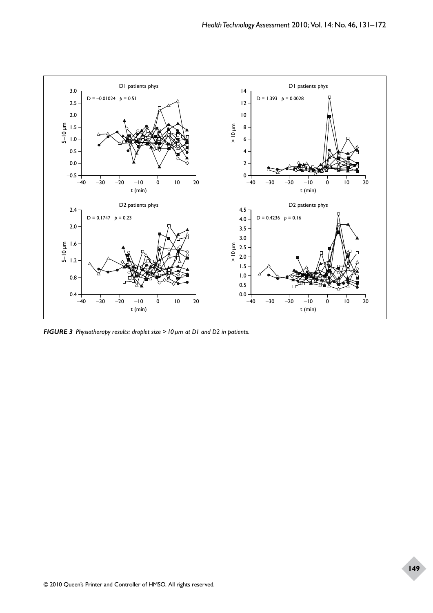

*FIGURE 3 Physiotherapy results: droplet size >10µm at D1 and D2 in patients.*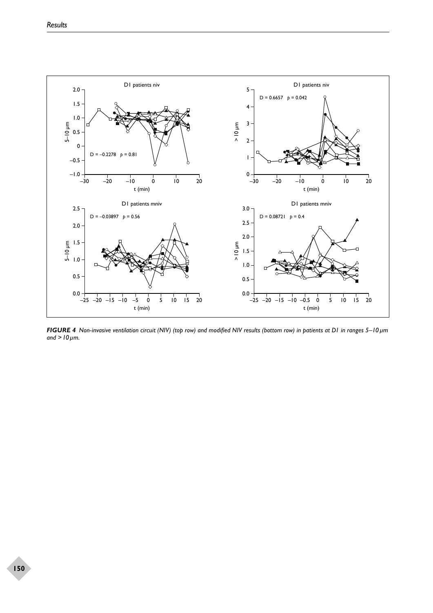

*FIGURE 4 Non-invasive ventilation circuit (NIV) (top row) and modified NIV results (bottom row) in patients at D1 in ranges 5–10µm and >10µm.*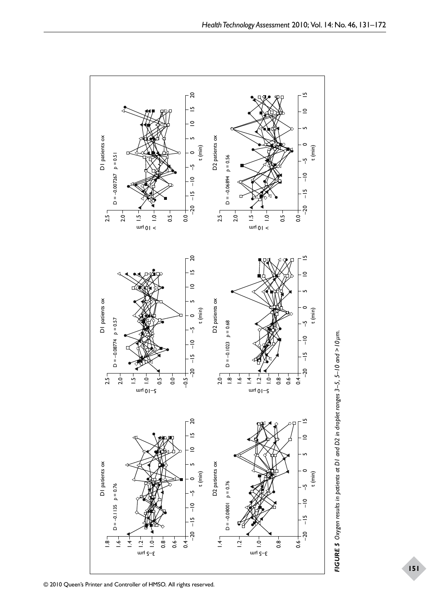

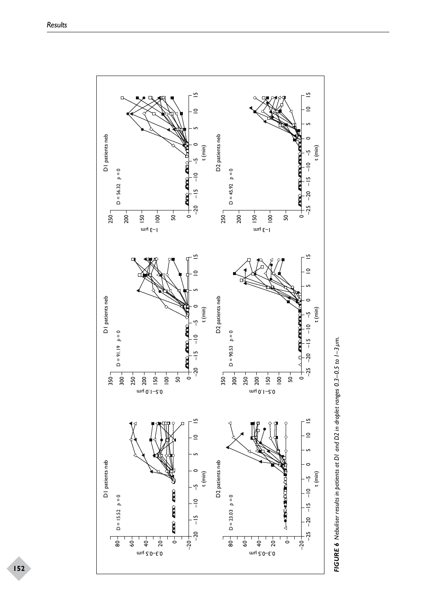

FIGURE 6 Nebuliser results in patients at DI and D2 in droplet ranges 0.3-0.5 to 1-3 um. *FIGURE 6 Nebuliser results in patients at D1 and D2 in droplet ranges 0.3–0.5 to 1–3µm.*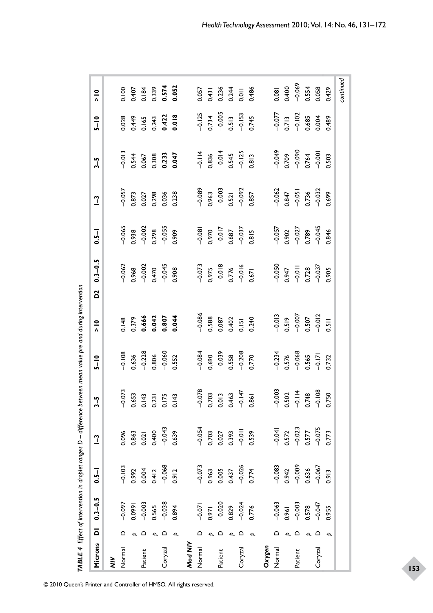|  | $\begin{array}{r} -0.078 \\ 0.703 \\ 0.013 \end{array}$<br>$-0.073$<br>$-0.003$<br>0.502<br>$-0.114$<br>0.748<br>$-0.108$<br>$0.463$<br>-0.147<br>0.653<br>0.143<br>0.231<br>0.175<br>0.143<br>0.861<br>0.750 | $0.096$<br>$0.863$<br>$0.021$<br>$0.400$<br>$-0.043$<br>$0.639$<br>$\begin{array}{r} -0.054 \\ 0.703 \\ 0.027 \\ 0.393 \\ -0.011 \\ 0.539 \end{array}$<br>$-0.041$<br>0.572<br>$-0.023$<br>0.577<br>0.075<br>0.773<br>$\begin{array}{r} -0.083 \\ 0.942 \\ -0.009 \\ 0.636 \\ -0.009 \end{array}$<br>$\begin{array}{r} -0.103 \\ 0.992 \\ 0.004 \\ 0.412 \\ -0.068 \\ 0.912 \end{array}$<br>$-0.073$<br>0.963<br>0.005<br>0.437<br>0.774<br>0.913 | $-0.097$<br>$-0.099$<br>$-0.003$<br>$-0.038$<br>$-0.038$<br>$-0.038$<br>$-0.071$<br>$-0.020$<br>$-0.024$<br>$-0.024$<br>$\begin{array}{r} -0.063 \\ 0.961 \\ -0.003 \\ 0.578 \\ -0.047 \end{array}$<br>0.955 | △<br>$\Omega$<br>ہ ہ<br>≏<br>$\Omega$<br>≏<br>ہ ہ<br>ء ہ<br>≏<br>$\Delta$<br>$\Delta$<br>$\Delta$<br>$\Delta$<br>$\Delta$<br>$\overline{\phantom{a}}$<br>Mod NIV | 0.028<br>$-0.057$<br>$-0.065$<br>$-0.062$<br>0.148<br>$-0.108$ |  |  | 0.449<br>$-0.013$<br>0.544<br>0.873<br>0.027<br>0.938<br>0.968<br>-0.002<br>0.379<br>$0.636$<br>$-0.228$ | 0.165<br>0.067<br>0.666 | 0.298<br>$0.470 - 0.045$<br>0.042<br>0.806 | $0.243$<br>$0.422$<br>$0.018$<br>0.308<br>0.233<br>0.047<br>0.036<br>$-0.002$<br>0.298<br>$-0.055$<br>0.909<br>0.807<br>$-0.060$ | 0.238<br>0.908<br>0.044<br>0.552 |  | $-0.089$<br>$-0.086$ | $-0.125$<br>0.734<br>-0.005<br>$-0.114$<br>0.836<br>$-0.014$<br>0.545<br>0.545<br>$0.963$<br>-0.003<br>$-0.081$<br>0.970<br>$-0.017$<br>0.687<br>0.037<br>0.815<br>$\begin{array}{r} -0.073 \\ 0.975 \\ -0.018 \\ 0.776 \\ -0.016 \\ 0.016 \end{array}$<br>0.588<br>$-0.084$<br>0.690 | 0.087<br>$-0.039$ | 0.521<br>-0.092<br>0.402<br>0.151 | $0.513$<br>$-0.153$<br>$0.745$<br>0.558<br>-0.208<br>0.770 | 0.813<br>0.857<br>0.240 |  | $-0.077$<br>$-0.062$<br>$-0.050$<br>0.947<br>-0.011<br>$-0.013$ | 0.519 | $0.713$<br>-0.102<br>$0.847$<br>$-0.051$<br>$-0.057$<br>$0.902$<br>$-0.027$<br>$-0.007$<br>$-0.234$<br>0.576<br>-0.068 | 0.685<br>0.004<br>$-0.049$<br>0.709<br>$-0.090$<br>0.764<br>0.764<br>0.736<br>-0.032<br>0.789<br>$0.728$<br>-0.037<br>0.507<br>0.565 | $-0.045$<br>$-0.012$ | 0.489<br>0.503<br>0.699<br>0.846<br>0.905<br>0.511<br>0.732 |
|--|---------------------------------------------------------------------------------------------------------------------------------------------------------------------------------------------------------------|---------------------------------------------------------------------------------------------------------------------------------------------------------------------------------------------------------------------------------------------------------------------------------------------------------------------------------------------------------------------------------------------------------------------------------------------------|--------------------------------------------------------------------------------------------------------------------------------------------------------------------------------------------------------------|------------------------------------------------------------------------------------------------------------------------------------------------------------------|----------------------------------------------------------------|--|--|----------------------------------------------------------------------------------------------------------|-------------------------|--------------------------------------------|----------------------------------------------------------------------------------------------------------------------------------|----------------------------------|--|----------------------|---------------------------------------------------------------------------------------------------------------------------------------------------------------------------------------------------------------------------------------------------------------------------------------|-------------------|-----------------------------------|------------------------------------------------------------|-------------------------|--|-----------------------------------------------------------------|-------|------------------------------------------------------------------------------------------------------------------------|--------------------------------------------------------------------------------------------------------------------------------------|----------------------|-------------------------------------------------------------|
|--|---------------------------------------------------------------------------------------------------------------------------------------------------------------------------------------------------------------|---------------------------------------------------------------------------------------------------------------------------------------------------------------------------------------------------------------------------------------------------------------------------------------------------------------------------------------------------------------------------------------------------------------------------------------------------|--------------------------------------------------------------------------------------------------------------------------------------------------------------------------------------------------------------|------------------------------------------------------------------------------------------------------------------------------------------------------------------|----------------------------------------------------------------|--|--|----------------------------------------------------------------------------------------------------------|-------------------------|--------------------------------------------|----------------------------------------------------------------------------------------------------------------------------------|----------------------------------|--|----------------------|---------------------------------------------------------------------------------------------------------------------------------------------------------------------------------------------------------------------------------------------------------------------------------------|-------------------|-----------------------------------|------------------------------------------------------------|-------------------------|--|-----------------------------------------------------------------|-------|------------------------------------------------------------------------------------------------------------------------|--------------------------------------------------------------------------------------------------------------------------------------|----------------------|-------------------------------------------------------------|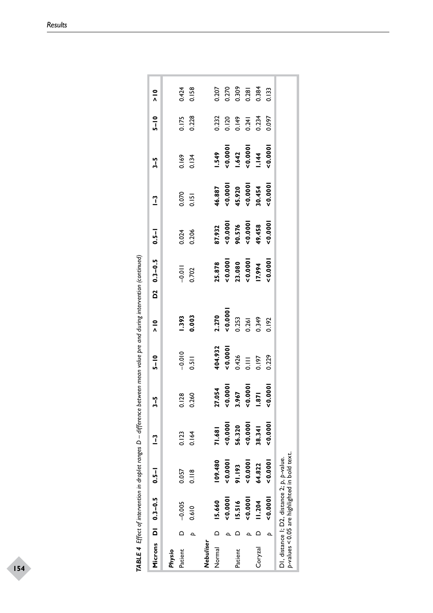|                   |                | Microns $DI$ 0.3-0.5                        | $-1 - 0$                                      | $\frac{1}{2}$ | $3 - 5$                                                    | $5 - 10$                      | $\frac{1}{2}$                                                                                        | $D2 \t 0.3-0.5$                                  | $0.5 - 1$                                         | $\frac{1}{1}$                                                  | $3-5$                                        | $5 - 10$                                  | $\frac{1}{2}$                             |
|-------------------|----------------|---------------------------------------------|-----------------------------------------------|---------------|------------------------------------------------------------|-------------------------------|------------------------------------------------------------------------------------------------------|--------------------------------------------------|---------------------------------------------------|----------------------------------------------------------------|----------------------------------------------|-------------------------------------------|-------------------------------------------|
| Patient<br>Physio | $\overline{a}$ | $-0.005$                                    | 0.057                                         | 0.123         |                                                            |                               |                                                                                                      |                                                  |                                                   |                                                                |                                              |                                           |                                           |
|                   |                | 0.610                                       | 0.118                                         | 0.164         | 0.128<br>0.260                                             | $-0.010$<br>0.511             | <b>1.393</b><br>0.003                                                                                | $-0.011$<br>0.702                                | 0.024                                             | 0.070                                                          | 0.134                                        | 0.175<br>0.228                            | 0.424<br>0.158                            |
| Nebuliser         |                |                                             |                                               |               |                                                            |                               |                                                                                                      |                                                  |                                                   |                                                                |                                              |                                           |                                           |
| Normal            | $\circ$        | 15.660                                      | 109.480                                       | 71.681        |                                                            | 404.932                       |                                                                                                      |                                                  |                                                   |                                                                |                                              |                                           |                                           |
|                   |                | 0.0001                                      | 0.0001                                        | 0.0001        |                                                            | 0.0001                        |                                                                                                      |                                                  |                                                   |                                                                |                                              |                                           |                                           |
| Patient           |                | 15.516                                      | 91.193                                        | 56.320        | $27.054$<br>$< 0.0001$<br>$3.967$<br>$< 0.0001$<br>$1.871$ |                               | 2.270<br>$\begin{array}{c} 2.270 \\ 0.0001 \\ 0.253 \\ 0.349 \\ 0.349 \\ 0.192 \\ 0.192 \end{array}$ | 25.878<br><0.000 <br>23.080<br><0.000 <br>!7.994 | 87.932<br><0.0001<br>90.576<br><0.0001<br><0.0001 | $46.887$<br>$< 0.00001$<br>$45.920$<br>$< 0.0001$<br>$> 0.454$ | 549<br><0.000 <br>  642<br>  0.000 <br>  144 | 0.232<br>0.120<br>0.149<br>0.234<br>0.097 | 0.207<br>0.270<br>0.309<br>0.384<br>0.133 |
|                   |                | 0.0000                                      | 0.0001                                        | 0.0001        |                                                            | $0.426$<br>$0.197$<br>$0.229$ |                                                                                                      |                                                  |                                                   |                                                                |                                              |                                           |                                           |
| Coryzal           |                | 11.204                                      | 64.822                                        | 38.341        |                                                            |                               |                                                                                                      |                                                  |                                                   |                                                                |                                              |                                           |                                           |
|                   |                | 0.0001                                      | 000.001                                       | 00000000      | 0.0001                                                     |                               |                                                                                                      | 0.0001                                           | 0.0001                                            | 0.0001                                                         | 0.0001                                       |                                           |                                           |
|                   |                | DI, distance I; D2, distance 2; p, p-value. | p-values < 0.05 are highlighted in bold text. |               |                                                            |                               |                                                                                                      |                                                  |                                                   |                                                                |                                              |                                           |                                           |

| .<br>.<br>.         |
|---------------------|
|                     |
|                     |
|                     |
|                     |
|                     |
|                     |
|                     |
|                     |
|                     |
|                     |
|                     |
|                     |
|                     |
|                     |
|                     |
|                     |
|                     |
| I                   |
| J                   |
|                     |
|                     |
|                     |
|                     |
|                     |
|                     |
|                     |
|                     |
|                     |
|                     |
|                     |
|                     |
|                     |
|                     |
|                     |
|                     |
|                     |
|                     |
| ì<br>׃              |
| ı                   |
| l<br>.              |
| I                   |
| ı                   |
| <b>TARIE</b><br>֚֚֚ |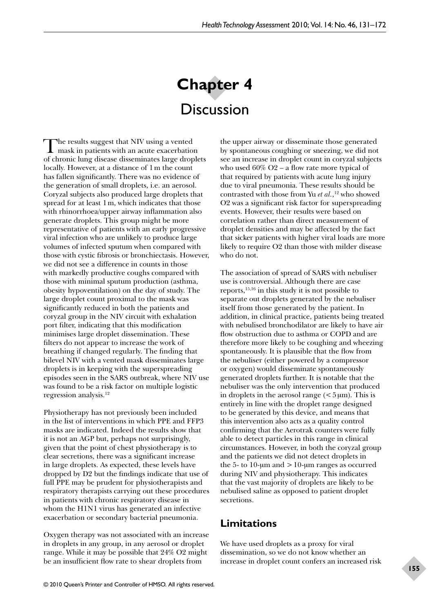# **Chapter 4 Discussion**

The results suggest that NIV using a vented<br>
mask in patients with an acute exacerbation of chronic lung disease disseminates large droplets locally. However, at a distance of 1m the count has fallen significantly. There was no evidence of the generation of small droplets, i.e. an aerosol. Coryzal subjects also produced large droplets that spread for at least 1m, which indicates that those with rhinorrhoea/upper airway inflammation also generate droplets. This group might be more representative of patients with an early progressive viral infection who are unlikely to produce large volumes of infected sputum when compared with those with cystic fibrosis or bronchiectasis. However, we did not see a difference in counts in those with markedly productive coughs compared with those with minimal sputum production (asthma, obesity hypoventilation) on the day of study. The large droplet count proximal to the mask was significantly reduced in both the patients and coryzal group in the NIV circuit with exhalation port filter, indicating that this modification minimises large droplet dissemination. These filters do not appear to increase the work of breathing if changed regularly. The finding that bilevel NIV with a vented mask disseminates large droplets is in keeping with the superspreading episodes seen in the SARS outbreak, where NIV use was found to be a risk factor on multiple logistic regression analysis.12

Physiotherapy has not previously been included in the list of interventions in which PPE and FFP3 masks are indicated. Indeed the results show that it is not an AGP but, perhaps not surprisingly, given that the point of chest physiotherapy is to clear secretions, there was a significant increase in large droplets. As expected, these levels have dropped by D2 but the findings indicate that use of full PPE may be prudent for physiotherapists and respiratory therapists carrying out these procedures in patients with chronic respiratory disease in whom the H1N1 virus has generated an infective exacerbation or secondary bacterial pneumonia.

Oxygen therapy was not associated with an increase in droplets in any group, in any aerosol or droplet range. While it may be possible that 24% O2 might be an insufficient flow rate to shear droplets from

the upper airway or disseminate those generated by spontaneous coughing or sneezing, we did not see an increase in droplet count in coryzal subjects who used  $60\%$  O2 – a flow rate more typical of that required by patients with acute lung injury due to viral pneumonia. These results should be contrasted with those from Yu *et al.*, 12 who showed O2 was a significant risk factor for superspreading events. However, their results were based on correlation rather than direct measurement of droplet densities and may be affected by the fact that sicker patients with higher viral loads are more likely to require O2 than those with milder disease who do not.

The association of spread of SARS with nebuliser use is controversial. Although there are case reports,15,16 in this study it is not possible to separate out droplets generated by the nebuliser itself from those generated by the patient. In addition, in clinical practice, patients being treated with nebulised bronchodilator are likely to have air flow obstruction due to asthma or COPD and are therefore more likely to be coughing and wheezing spontaneously. It is plausible that the flow from the nebuliser (either powered by a compressor or oxygen) would disseminate spontaneously generated droplets further. It is notable that the nebuliser was the only intervention that produced in droplets in the aerosol range  $(<5 \,\mu m)$ . This is entirely in line with the droplet range designed to be generated by this device, and means that this intervention also acts as a quality control confirming that the Aerotrak counters were fully able to detect particles in this range in clinical circumstances. However, in both the coryzal group and the patients we did not detect droplets in the 5- to 10-µm and  $>10$ -µm ranges as occurred during NIV and physiotherapy. This indicates that the vast majority of droplets are likely to be nebulised saline as opposed to patient droplet secretions.

# **Limitations**

We have used droplets as a proxy for viral dissemination, so we do not know whether an increase in droplet count confers an increased risk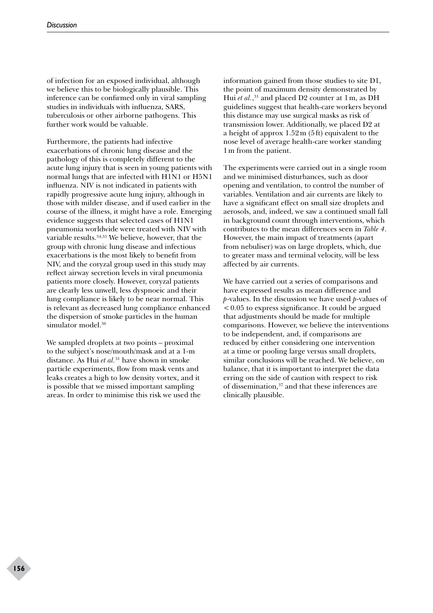of infection for an exposed individual, although we believe this to be biologically plausible. This inference can be confirmed only in viral sampling studies in individuals with influenza, SARS, tuberculosis or other airborne pathogens. This further work would be valuable.

Furthermore, the patients had infective exacerbations of chronic lung disease and the pathology of this is completely different to the acute lung injury that is seen in young patients with normal lungs that are infected with H1N1 or H5N1 influenza. NIV is not indicated in patients with rapidly progressive acute lung injury, although in those with milder disease, and if used earlier in the course of the illness, it might have a role. Emerging evidence suggests that selected cases of H1N1 pneumonia worldwide were treated with NIV with variable results.34,35 We believe, however, that the group with chronic lung disease and infectious exacerbations is the most likely to benefit from NIV, and the coryzal group used in this study may reflect airway secretion levels in viral pneumonia patients more closely. However, coryzal patients are clearly less unwell, less dyspnoeic and their lung compliance is likely to be near normal. This is relevant as decreased lung compliance enhanced the dispersion of smoke particles in the human simulator model.<sup>36</sup>

We sampled droplets at two points – proximal to the subject's nose/mouth/mask and at a 1-m distance. As Hui *et al.*31 have shown in smoke particle experiments, flow from mask vents and leaks creates a high to low density vortex, and it is possible that we missed important sampling areas. In order to minimise this risk we used the information gained from those studies to site D1, the point of maximum density demonstrated by Hui *et al.*, 31 and placed D2 counter at 1m, as DH guidelines suggest that health-care workers beyond this distance may use surgical masks as risk of transmission lower. Additionally, we placed D2 at a height of approx 1.52m (5ft) equivalent to the nose level of average health-care worker standing 1m from the patient.

The experiments were carried out in a single room and we minimised disturbances, such as door opening and ventilation, to control the number of variables. Ventilation and air currents are likely to have a significant effect on small size droplets and aerosols, and, indeed, we saw a continued small fall in background count through interventions, which contributes to the mean differences seen in *Table 4*. However, the main impact of treatments (apart from nebuliser) was on large droplets, which, due to greater mass and terminal velocity, will be less affected by air currents.

We have carried out a series of comparisons and have expressed results as mean difference and *p*-values. In the discussion we have used *p*-values of  $< 0.05$  to express significance. It could be argued that adjustments should be made for multiple comparisons. However, we believe the interventions to be independent, and, if comparisons are reduced by either considering one intervention at a time or pooling large versus small droplets, similar conclusions will be reached. We believe, on balance, that it is important to interpret the data erring on the side of caution with respect to risk of dissemination,<sup>37</sup> and that these inferences are clinically plausible.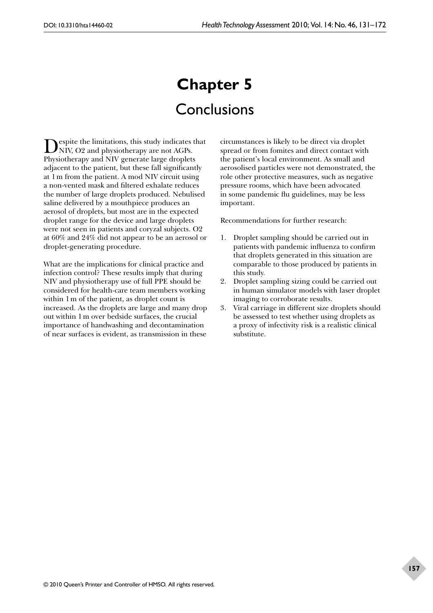# **Chapter 5 Conclusions**

Despite the limitations, this study indicates that NIV, O2 and physiotherapy are not AGPs. Physiotherapy and NIV generate large droplets adjacent to the patient, but these fall significantly at 1m from the patient. A mod NIV circuit using a non-vented mask and filtered exhalate reduces the number of large droplets produced. Nebulised saline delivered by a mouthpiece produces an aerosol of droplets, but most are in the expected droplet range for the device and large droplets were not seen in patients and coryzal subjects. O2 at 60% and 24% did not appear to be an aerosol or droplet-generating procedure.

What are the implications for clinical practice and infection control? These results imply that during NIV and physiotherapy use of full PPE should be considered for health-care team members working within 1m of the patient, as droplet count is increased. As the droplets are large and many drop out within 1m over bedside surfaces, the crucial importance of handwashing and decontamination of near surfaces is evident, as transmission in these

circumstances is likely to be direct via droplet spread or from fomites and direct contact with the patient's local environment. As small and aerosolised particles were not demonstrated, the role other protective measures, such as negative pressure rooms, which have been advocated in some pandemic flu guidelines, may be less important.

Recommendations for further research:

- 1. Droplet sampling should be carried out in patients with pandemic influenza to confirm that droplets generated in this situation are comparable to those produced by patients in this study.
- 2. Droplet sampling sizing could be carried out in human simulator models with laser droplet imaging to corroborate results.
- 3. Viral carriage in different size droplets should be assessed to test whether using droplets as a proxy of infectivity risk is a realistic clinical substitute.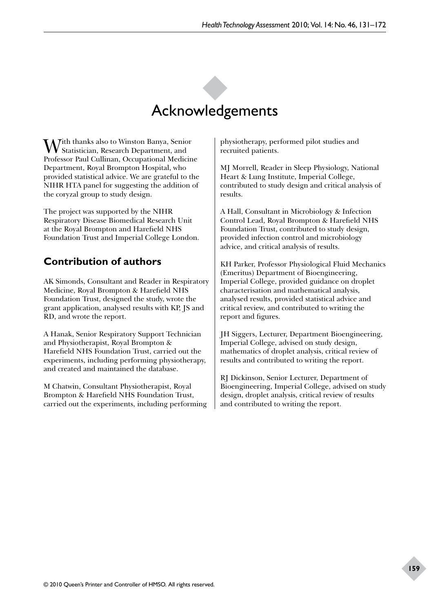# Acknowledgements

With thanks also to Winston Banya, Senior Statistician, Research Department, and Professor Paul Cullinan, Occupational Medicine Department, Royal Brompton Hospital, who provided statistical advice. We are grateful to the NIHR HTA panel for suggesting the addition of the coryzal group to study design.

The project was supported by the NIHR Respiratory Disease Biomedical Research Unit at the Royal Brompton and Harefield NHS Foundation Trust and Imperial College London.

# **Contribution of authors**

AK Simonds, Consultant and Reader in Respiratory Medicine, Royal Brompton & Harefield NHS Foundation Trust, designed the study, wrote the grant application, analysed results with KP, JS and RD, and wrote the report.

A Hanak, Senior Respiratory Support Technician and Physiotherapist, Royal Brompton & Harefield NHS Foundation Trust, carried out the experiments, including performing physiotherapy, and created and maintained the database.

M Chatwin, Consultant Physiotherapist, Royal Brompton & Harefield NHS Foundation Trust, carried out the experiments, including performing physiotherapy, performed pilot studies and recruited patients.

MJ Morrell, Reader in Sleep Physiology, National Heart & Lung Institute, Imperial College, contributed to study design and critical analysis of results.

A Hall, Consultant in Microbiology & Infection Control Lead, Royal Brompton & Harefield NHS Foundation Trust, contributed to study design, provided infection control and microbiology advice, and critical analysis of results.

KH Parker, Professor Physiological Fluid Mechanics (Emeritus) Department of Bioengineering, Imperial College, provided guidance on droplet characterisation and mathematical analysis, analysed results, provided statistical advice and critical review, and contributed to writing the report and figures.

JH Siggers, Lecturer, Department Bioengineering, Imperial College, advised on study design, mathematics of droplet analysis, critical review of results and contributed to writing the report.

RJ Dickinson, Senior Lecturer, Department of Bioengineering, Imperial College, advised on study design, droplet analysis, critical review of results and contributed to writing the report.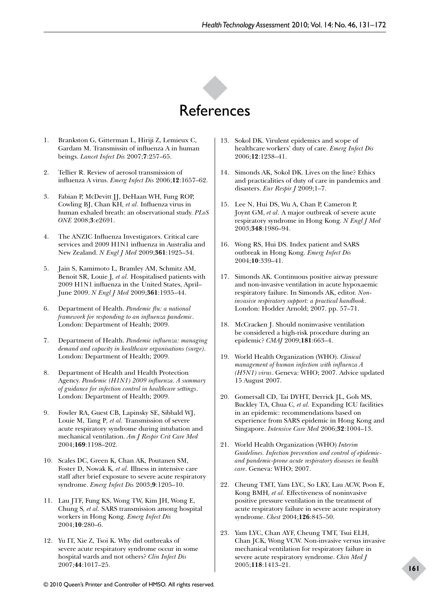

- 1. Brankston G, Gitterman L, Hiriji Z, Lemieux C, Gardam M. Transmissin of influenza A in human beings. *Lancet Infect Dis* 2007;**7**:257–65.
- 2. Tellier R. Review of aerosol transmission of influenza A virus. *Emerg Infect Dis* 2006;**12**:1657–62.
- 3. Fabian P, McDevitt JJ, DeHaan WH, Fung ROP, Cowling BJ, Chan KH*, et al.* Influenza virus in human exhaled breath: an observational study. *PLoS ONE* 2008;**3**:e2691.
- 4. The ANZIC Influenza Investigators. Critical care services and 2009 H1N1 influenza in Australia and New Zealand. *N Engl J Med* 2009;**361**:1925–34.
- 5. Jain S, Kamimoto L, Bramley AM, Schmitz AM, Benoit SR, Louie J*, et al.* Hospitalised patients with 2009 H1N1 influenza in the United States, April– June 2009. *N Engl J Med* 2009;**361**:1935–44.
- 6. Department of Health. *Pandemic flu: a national framework for responding to an influenza pandemic*. London: Department of Health; 2009.
- 7. Department of Health. *Pandemic influenza: managing demand and capacity in healthcare organisations (surge)*. London: Department of Health; 2009.
- 8. Department of Health and Health Protection Agency. *Pandemic (H1N1) 2009 influenza. A summary of guidance for infection control in healthcare settings*. London: Department of Health; 2009.
- 9. Fowler RA, Guest CB, Lapinsky SE, Sibbald WJ, Louie M, Tang P*, et al.* Transmission of severe acute respiratory syndrome during intubation and mechanical ventilation. *Am J Respir Crit Care Med* 2004;**169**:1198–202.
- 10. Scales DC, Green K, Chan AK, Poutanen SM, Foster D, Nowak K*, et al.* Illness in intensive care staff after brief exposure to severe acute respiratory syndrome. *Emerg Infect Dis* 2003;**9**:1205–10.
- 11. Lau JTF, Fung KS, Wong TW, Kim JH, Wong E, Chung S*, et al.* SARS transmission among hospital workers in Hong Kong. *Emerg Infect Dis* 2004;**10**:280–6.
- 12. Yu IT, Xie Z, Tsoi K. Why did outbreaks of severe acute respiratory syndrome occur in some hospital wards and not others? *Clin Infect Dis* 2007;**44**:1017–25.
- 13. Sokol DK. Virulent epidemics and scope of healthcare workers' duty of care. *Emerg Infect Dis* 2006;**12**:1238–41.
- 14. Simonds AK, Sokol DK. Lives on the line? Ethics and practicalities of duty of care in pandemics and disasters. *Eur Respir J* 2009;1–7.
- 15. Lee N, Hui DS, Wu A, Chan P, Cameron P, Joynt GM, *et al.* A major outbreak of severe acute respiratory syndrome in Hong Kong. *N Engl J Med* 2003;**348**:1986–94.
- 16. Wong RS, Hui DS. Index patient and SARS outbreak in Hong Kong. *Emerg Infect Dis* 2004;**10**:339–41.
- 17. Simonds AK. Continuous positive airway pressure and non-invasive ventilation in acute hypoxaemic respiratory failure. In Simonds AK, editor. *Noninvasive respiratory support: a practical handbook*. London: Hodder Arnold; 2007. pp. 57–71.
- 18. McCracken J. Should noninvasive ventilation be considered a high-risk procedure during an epidemic? *CMAJ* 2009;**181**:663–4.
- 19. World Health Organization (WHO). *Clinical management of human infection with influenza A (H5N1) virus*. Geneva: WHO; 2007. Advice updated 15 August 2007.
- 20. Gomersall CD, Tai DYHT, Derrick JL, Goh MS, Buckley TA, Chua C*, et al.* Expanding ICU facilities in an epidemic: recommendations based on experience from SARS epidemic in Hong Kong and Singapore. *Intensive Care Med* 2006;**32**:1004–13.
- 21. World Health Organization (WHO) *Interim Guidelines. Infection prevention and control of epidemicand pandemic-prone acute respiratory diseases in health care*. Geneva: WHO; 2007.
- 22. Cheung TMT, Yam LYC, So LKY, Lau ACW, Poon E, Kong BMH*, et al.* Effectiveness of noninvasive positive pressure ventilation in the treatment of acute respiratory failure in severe acute respiratory syndrome. *Chest* 2004;**126**:845–50.
- 23. Yam LYC, Chan AYF, Cheung TMT, Tsui ELH, Chan JCK, Wong VCW. Non-invasive versus invasive mechanical ventilation for respiratory failure in severe acute respiratory syndrome. *Chin Med J* 2005;**118**:1413–21.

## **161**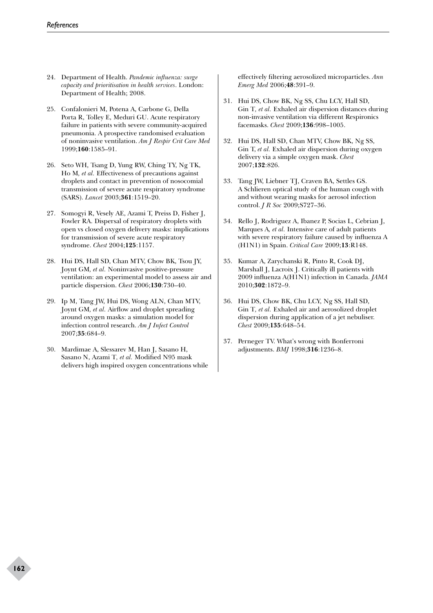- 24. Department of Health. *Pandemic influenza: surge capacity and prioritisation in health services*. London: Department of Health; 2008.
- 25. Confalonieri M, Potena A, Carbone G, Della Porta R, Tolley E, Meduri GU. Acute respiratory failure in patients with severe community-acquired pneumonia. A prospective randomised evaluation of noninvasive ventilation. *Am J Respir Crit Care Med* 1999;**160**:1585–91.
- 26. Seto WH, Tsang D, Yung RW, Ching TY, Ng TK, Ho M*, et al.* Effectiveness of precautions against droplets and contact in prevention of nosocomial transmission of severe acute respiratory syndrome (SARS). *Lancet* 2003;**361**:1519–20.
- 27. Somogyi R, Vesely AE, Azami T, Preiss D, Fisher J, Fowler RA. Dispersal of respiratory droplets with open vs closed oxygen delivery masks: implications for transmission of severe acute respiratory syndrome. *Chest* 2004;**125**:1157.
- 28. Hui DS, Hall SD, Chan MTV, Chow BK, Tsou JY, Joynt GM*, et al.* Noninvasive positive-pressure ventilation: an experimental model to assess air and particle dispersion. *Chest* 2006;**130**:730–40.
- 29. Ip M, Tang JW, Hui DS, Wong ALN, Chan MTV, Joynt GM*, et al.* Airflow and droplet spreading around oxygen masks: a simulation model for infection control research. *Am J Infect Control* 2007;**35**:684–9.
- 30. Mardimae A, Slessarev M, Han J, Sasano H, Sasano N, Azami T*, et al.* Modified N95 mask delivers high inspired oxygen concentrations while

effectively filtering aerosolized microparticles. *Ann Emerg Med* 2006;**48**:391–9.

- 31. Hui DS, Chow BK, Ng SS, Chu LCY, Hall SD, Gin T*, et al.* Exhaled air dispersion distances during non-invasive ventilation via different Respironics facemasks. *Chest* 2009;**136**:998–1005.
- 32. Hui DS, Hall SD, Chan MTV, Chow BK, Ng SS, Gin T, *et al.* Exhaled air dispersion during oxygen delivery via a simple oxygen mask. *Chest* 2007;**132**:826.
- 33. Tang JW, Liebner TJ, Craven BA, Settles GS. A Schlieren optical study of the human cough with and without wearing masks for aerosol infection control. *J R Soc* 2009;S727–36.
- 34. Rello J, Rodriguez A, Ibanez P, Socias L, Cebrian J, Marques A*, et al.* Intensive care of adult patients with severe respiratory failure caused by influenza A (H1N1) in Spain. *Critical Care* 2009;**13**:R148.
- 35. Kumar A, Zarychanski R, Pinto R, Cook DJ, Marshall J, Lacroix J. Critically ill patients with 2009 influenza A(H1N1) infection in Canada. *JAMA* 2010;**302**:1872–9.
- 36. Hui DS, Chow BK, Chu LCY, Ng SS, Hall SD, Gin T*, et al.* Exhaled air and aerosolized droplet dispersion during application of a jet nebuliser. *Chest* 2009;**135**:648–54.
- 37. Perneger TV. What's wrong with Bonferroni adjustments. *BMJ* 1998;**316**:1236–8.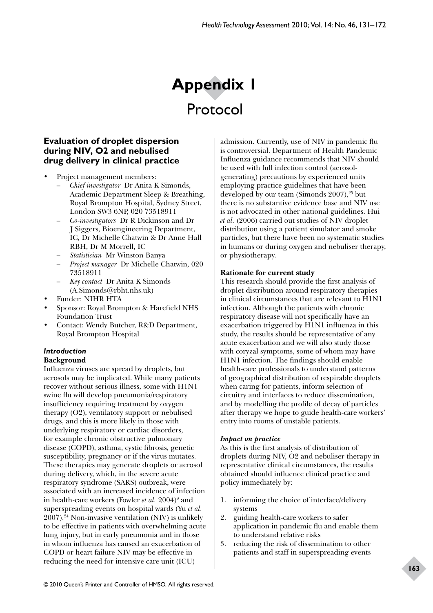# **Appendix 1**  Protocol

# **Evaluation of droplet dispersion during NIV, O2 and nebulised drug delivery in clinical practice**

- Project management members:
	- *Chief investigator* Dr Anita K Simonds, Academic Department Sleep & Breathing, Royal Brompton Hospital, Sydney Street, London SW3 6NP, 020 73518911
	- *Co-investigators* Dr R Dickinson and Dr J Siggers, Bioengineering Department, IC, Dr Michelle Chatwin & Dr Anne Hall RBH, Dr M Morrell, IC
	- *Statistician* Mr Winston Banya
	- *Project manager* Dr Michelle Chatwin, 020 73518911
	- *Key contact* Dr Anita K Simonds (A.Simonds@rbht.nhs.uk)
- Funder: NIHR HTA
- Sponsor: Royal Brompton & Harefield NHS Foundation Trust
- Contact: Wendy Butcher, R&D Department, Royal Brompton Hospital

# *Introduction*

# **Background**

Influenza viruses are spread by droplets, but aerosols may be implicated. While many patients recover without serious illness, some with H1N1 swine flu will develop pneumonia/respiratory insufficiency requiring treatment by oxygen therapy (O2), ventilatory support or nebulised drugs, and this is more likely in those with underlying respiratory or cardiac disorders, for example chronic obstructive pulmonary disease (COPD), asthma, cystic fibrosis, genetic susceptibility, pregnancy or if the virus mutates. These therapies may generate droplets or aerosol during delivery, which, in the severe acute respiratory syndrome (SARS) outbreak, were associated with an increased incidence of infection in health-care workers (Fowler *et al.* 2004)<sup>9</sup> and superspreading events on hospital wards (Yu *et al.* 2007).24 Non-invasive ventilation (NIV) is unlikely to be effective in patients with overwhelming acute lung injury, but in early pneumonia and in those in whom influenza has caused an exacerbation of COPD or heart failure NIV may be effective in reducing the need for intensive care unit (ICU)

admission. Currently, use of NIV in pandemic flu is controversial. Department of Health Pandemic Influenza guidance recommends that NIV should be used with full infection control (aerosolgenerating) precautions by experienced units employing practice guidelines that have been developed by our team (Simonds  $2007$ ),<sup>25</sup> but there is no substantive evidence base and NIV use is not advocated in other national guidelines. Hui *et al.* (2006) carried out studies of NIV droplet distribution using a patient simulator and smoke particles, but there have been no systematic studies in humans or during oxygen and nebuliser therapy, or physiotherapy.

# **Rationale for current study**

This research should provide the first analysis of droplet distribution around respiratory therapies in clinical circumstances that are relevant to H1N1 infection. Although the patients with chronic respiratory disease will not specifically have an exacerbation triggered by H1N1 influenza in this study, the results should be representative of any acute exacerbation and we will also study those with coryzal symptoms, some of whom may have H1N1 infection. The findings should enable health-care professionals to understand patterns of geographical distribution of respirable droplets when caring for patients, inform selection of circuitry and interfaces to reduce dissemination, and by modelling the profile of decay of particles after therapy we hope to guide health-care workers' entry into rooms of unstable patients.

## *Impact on practice*

As this is the first analysis of distribution of droplets during NIV, O2 and nebuliser therapy in representative clinical circumstances, the results obtained should influence clinical practice and policy immediately by:

- 1. informing the choice of interface/delivery systems
- 2. guiding health-care workers to safer application in pandemic flu and enable them to understand relative risks
- 3. reducing the risk of dissemination to other patients and staff in superspreading events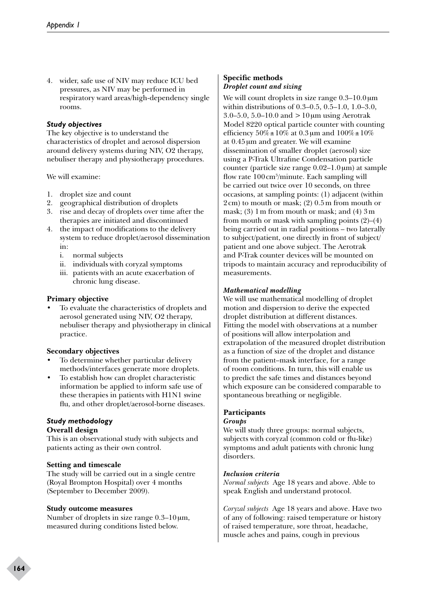4. wider, safe use of NIV may reduce ICU bed pressures, as NIV may be performed in respiratory ward areas/high-dependency single rooms.

## *Study objectives*

The key objective is to understand the characteristics of droplet and aerosol dispersion around delivery systems during NIV, O2 therapy, nebuliser therapy and physiotherapy procedures.

We will examine:

- 1. droplet size and count
- 2. geographical distribution of droplets
- 3. rise and decay of droplets over time after the therapies are initiated and discontinued
- 4. the impact of modifications to the delivery system to reduce droplet/aerosol dissemination in:
	- i. normal subjects
	- ii. individuals with coryzal symptoms
	- iii. patients with an acute exacerbation of chronic lung disease.

#### **Primary objective**

To evaluate the characteristics of droplets and aerosol generated using NIV, O2 therapy, nebuliser therapy and physiotherapy in clinical practice.

#### **Secondary objectives**

- To determine whether particular delivery methods/interfaces generate more droplets.
- To establish how can droplet characteristic information be applied to inform safe use of these therapies in patients with H1N1 swine flu, and other droplet/aerosol-borne diseases.

# *Study methodology*

# **Overall design**

This is an observational study with subjects and patients acting as their own control.

#### **Setting and timescale**

The study will be carried out in a single centre (Royal Brompton Hospital) over 4 months (September to December 2009).

#### **Study outcome measures**

Number of droplets in size range  $0.3-10 \,\mu m$ , measured during conditions listed below.

#### **Specific methods** *Droplet count and sizing*

We will count droplets in size range  $0.3-10.0 \,\mu m$ within distributions of 0.3–0.5, 0.5–1.0, 1.0–3.0, 3.0–5.0, 5.0–10.0 and  $>10 \mu m$  using Aerotrak Model 8220 optical particle counter with counting efficiency  $50\% \pm 10\%$  at 0.3 µm and  $100\% \pm 10\%$ at 0.45µm and greater. We will examine dissemination of smaller droplet (aerosol) size using a P-Trak Ultrafine Condensation particle counter (particle size range 0.02–1.0µm) at sample flow rate 100 cm<sup>3</sup>/minute. Each sampling will be carried out twice over 10 seconds, on three occasions, at sampling points: (1) adjacent (within 2cm) to mouth or mask; (2) 0.5m from mouth or mask; (3) 1m from mouth or mask; and (4) 3m from mouth or mask with sampling points (2)–(4) being carried out in radial positions – two laterally to subject/patient, one directly in front of subject/ patient and one above subject. The Aerotrak and P-Trak counter devices will be mounted on tripods to maintain accuracy and reproducibility of measurements.

#### *Mathematical modelling*

We will use mathematical modelling of droplet motion and dispersion to derive the expected droplet distribution at different distances. Fitting the model with observations at a number of positions will allow interpolation and extrapolation of the measured droplet distribution as a function of size of the droplet and distance from the patient–mask interface, for a range of room conditions. In turn, this will enable us to predict the safe times and distances beyond which exposure can be considered comparable to spontaneous breathing or negligible.

## **Participants**

#### *Groups*

We will study three groups: normal subjects, subjects with coryzal (common cold or flu-like) symptoms and adult patients with chronic lung disorders.

#### *Inclusion criteria*

*Normal subjects* Age 18 years and above. Able to speak English and understand protocol.

*Coryzal subjects* Age 18 years and above. Have two of any of following: raised temperature or history of raised temperature, sore throat, headache, muscle aches and pains, cough in previous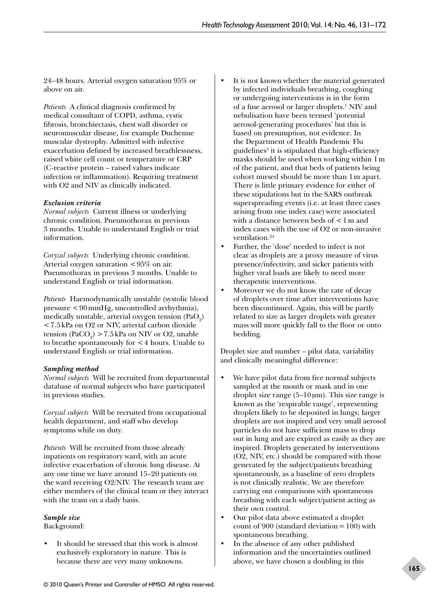24–48 hours. Arterial oxygen saturation 95% or above on air.

*Patients* A clinical diagnosis confirmed by medical consultant of COPD, asthma, cystic fibrosis, bronchiectasis, chest wall disorder or neuromuscular disease, for example Duchenne muscular dystrophy. Admitted with infective exacerbation defined by increased breathlessness, raised white cell count or temperature or CRP (C-reactive protein – raised values indicate infection or inflammation). Requiring treatment with O2 and NIV as clinically indicated.

## *Exclusion criteria*

*Normal subjects* Current illness or underlying chronic condition. Pneumothorax in previous 3 months. Unable to understand English or trial information.

*Coryzal subjects* Underlying chronic condition. Arterial oxygen saturation  $\lt 95\%$  on air. Pneumothorax in previous 3 months. Unable to understand English or trial information.

*Patients* Haemodynamically unstable (systolic blood pressure <90mmHg, uncontrolled arrhythmia), medically unstable, arterial oxygen tension (PaO $_2$ ) <7.5kPa on O2 or NIV, arterial carbon dioxide tension (PaCO<sub>2</sub>) > 7.5 kPa on NIV or O2, unable to breathe spontaneously for  $\leq 4$  hours. Unable to understand English or trial information.

## *Sampling method*

*Normal subjects* Will be recruited from departmental database of normal subjects who have participated in previous studies.

*Coryzal subjects* Will be recruited from occupational health department, and staff who develop symptoms while on duty.

*Patients* Will be recruited from those already inpatients on respiratory ward, with an acute infective exacerbation of chronic lung disease. At any one time we have around 15–20 patients on the ward receiving O2/NIV. The research team are either members of the clinical team or they interact with the team on a daily basis.

## *Sample size*

Background:

It should be stressed that this work is almost exclusively exploratory in nature. This is because there are very many unknowns.

- It is not known whether the material generated by infected individuals breathing, coughing or undergoing interventions is in the form of a fine aerosol or larger droplets.<sup>1</sup> NIV and nebulisation have been termed 'potential aerosol-generating procedures' but this is based on presumption, not evidence. In the Department of Health Pandemic Flu guidelines<sup>3</sup> it is stipulated that high-efficiency masks should be used when working within 1m of the patient, and that beds of patients being cohort nursed should be more than 1m apart. There is little primary evidence for either of these stipulations but in the SARS outbreak superspreading events (i.e. at least three cases arising from one index case) were associated with a distance between beds of <1m and index cases with the use of O2 or non-invasive ventilation<sup>24</sup>
- Further, the 'dose' needed to infect is not clear as droplets are a proxy measure of virus presence/infectivity, and sicker patients with higher viral loads are likely to need more therapeutic interventions.
- Moreover we do not know the rate of decay of droplets over time after interventions have been discontinued. Again, this will be partly related to size as larger droplets with greater mass will more quickly fall to the floor or onto bedding.

Droplet size and number – pilot data, variability and clinically meaningful difference:

- We have pilot data from five normal subjects sampled at the mouth or mask and in one droplet size range  $(5-10 \,\mu\text{m})$ . This size range is known as the 'respirable range', representing droplets likely to be deposited in lungs; larger droplets are not inspired and very small aerosol particles do not have sufficient mass to drop out in lung and are expired as easily as they are inspired. Droplets generated by interventions (O2, NIV, etc.) should be compared with those generated by the subject/patients breathing spontaneously, as a baseline of zero droplets is not clinically realistic. We are therefore carrying out comparisons with spontaneous breathing with each subject/patient acting as their own control.
- Our pilot data above estimated a droplet count of 900 (standard deviation =  $100$ ) with spontaneous breathing.
- In the absence of any other published information and the uncertainties outlined above, we have chosen a doubling in this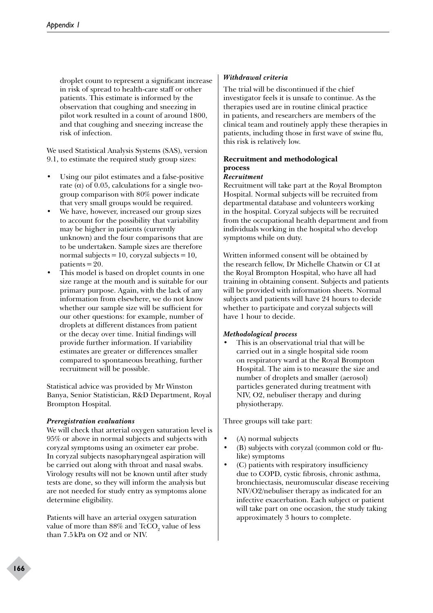droplet count to represent a significant increase in risk of spread to health-care staff or other patients. This estimate is informed by the observation that coughing and sneezing in pilot work resulted in a count of around 1800, and that coughing and sneezing increase the risk of infection.

We used Statistical Analysis Systems (SAS), version 9.1, to estimate the required study group sizes:

- Using our pilot estimates and a false-positive rate ( $\alpha$ ) of 0.05, calculations for a single twogroup comparison with 80% power indicate that very small groups would be required.
- We have, however, increased our group sizes to account for the possibility that variability may be higher in patients (currently unknown) and the four comparisons that are to be undertaken. Sample sizes are therefore normal subjects = 10, coryzal subjects = 10, patients  $=20$ .
- This model is based on droplet counts in one size range at the mouth and is suitable for our primary purpose. Again, with the lack of any information from elsewhere, we do not know whether our sample size will be sufficient for our other questions: for example, number of droplets at different distances from patient or the decay over time. Initial findings will provide further information. If variability estimates are greater or differences smaller compared to spontaneous breathing, further recruitment will be possible.

Statistical advice was provided by Mr Winston Banya, Senior Statistician, R&D Department, Royal Brompton Hospital.

## *Preregistration evaluations*

We will check that arterial oxygen saturation level is 95% or above in normal subjects and subjects with coryzal symptoms using an oximeter ear probe. In coryzal subjects nasopharyngeal aspiration will be carried out along with throat and nasal swabs. Virology results will not be known until after study tests are done, so they will inform the analysis but are not needed for study entry as symptoms alone determine eligibility.

Patients will have an arterial oxygen saturation value of more than  $88\%$  and  $\text{TcCO}_2^{}$  value of less than 7.5kPa on O2 and or NIV.

## *Withdrawal criteria*

The trial will be discontinued if the chief investigator feels it is unsafe to continue. As the therapies used are in routine clinical practice in patients, and researchers are members of the clinical team and routinely apply these therapies in patients, including those in first wave of swine flu, this risk is relatively low.

# **Recruitment and methodological process**

## *Recruitment*

Recruitment will take part at the Royal Brompton Hospital. Normal subjects will be recruited from departmental database and volunteers working in the hospital. Coryzal subjects will be recruited from the occupational health department and from individuals working in the hospital who develop symptoms while on duty.

Written informed consent will be obtained by the research fellow, Dr Michelle Chatwin or CI at the Royal Brompton Hospital, who have all had training in obtaining consent. Subjects and patients will be provided with information sheets. Normal subjects and patients will have 24 hours to decide whether to participate and coryzal subjects will have 1 hour to decide.

## *Methodological process*

• This is an observational trial that will be carried out in a single hospital side room on respiratory ward at the Royal Brompton Hospital. The aim is to measure the size and number of droplets and smaller (aerosol) particles generated during treatment with NIV, O2, nebuliser therapy and during physiotherapy.

Three groups will take part:

- (A) normal subjects
- (B) subjects with coryzal (common cold or flulike) symptoms
- (C) patients with respiratory insufficiency due to COPD, cystic fibrosis, chronic asthma, bronchiectasis, neuromuscular disease receiving NIV/O2/nebuliser therapy as indicated for an infective exacerbation. Each subject or patient will take part on one occasion, the study taking approximately 3 hours to complete.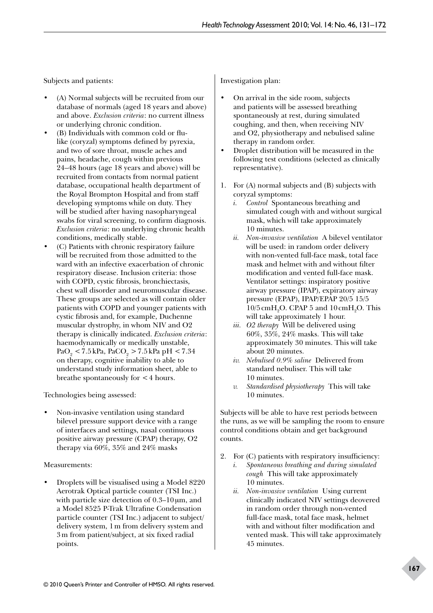Subjects and patients:

- (A) Normal subjects will be recruited from our database of normals (aged 18 years and above) and above. *Exclusion criteria*: no current illness or underlying chronic condition.
- (B) Individuals with common cold or flulike (coryzal) symptoms defined by pyrexia, and two of sore throat, muscle aches and pains, headache, cough within previous 24–48 hours (age 18 years and above) will be recruited from contacts from normal patient database, occupational health department of the Royal Brompton Hospital and from staff developing symptoms while on duty. They will be studied after having nasopharyngeal swabs for viral screening, to confirm diagnosis. *Exclusion criteria*: no underlying chronic health conditions, medically stable.
- (C) Patients with chronic respiratory failure will be recruited from those admitted to the ward with an infective exacerbation of chronic respiratory disease. Inclusion criteria: those with COPD, cystic fibrosis, bronchiectasis, chest wall disorder and neuromuscular disease. These groups are selected as will contain older patients with COPD and younger patients with cystic fibrosis and, for example, Duchenne muscular dystrophy, in whom NIV and O2 therapy is clinically indicated. *Exclusion criteria*: haemodynamically or medically unstable,  $PaO<sub>2</sub> < 7.5$  kPa,  $PaCO<sub>2</sub> > 7.5$  kPa pH  $< 7.34$ on therapy, cognitive inability to able to understand study information sheet, able to breathe spontaneously for <4 hours.

Technologies being assessed:

• Non-invasive ventilation using standard bilevel pressure support device with a range of interfaces and settings, nasal continuous positive airway pressure (CPAP) therapy, O2 therapy via 60%, 35% and 24% masks

#### Measurements:

• Droplets will be visualised using a Model 8220 Aerotrak Optical particle counter (TSI Inc.) with particle size detection of 0.3–10 µm, and a Model 8525 P-Trak Ultrafine Condensation particle counter (TSI Inc.) adjacent to subject/ delivery system, 1m from delivery system and 3m from patient/subject, at six fixed radial points.

Investigation plan:

- On arrival in the side room, subjects and patients will be assessed breathing spontaneously at rest, during simulated coughing, and then, when receiving NIV and O2, physiotherapy and nebulised saline therapy in random order.
- Droplet distribution will be measured in the following test conditions (selected as clinically representative).
- 1. For (A) normal subjects and (B) subjects with coryzal symptoms:
	- *i. Control* Spontaneous breathing and simulated cough with and without surgical mask, which will take approximately 10 minutes.
	- *ii. Non-invasive ventilation* A bilevel ventilator will be used: in random order delivery with non-vented full-face mask, total face mask and helmet with and without filter modification and vented full-face mask. Ventilator settings: inspiratory positive airway pressure (IPAP), expiratory airway pressure (EPAP), IPAP/EPAP 20/5 15/5  $10/5 \text{ cm} + A_2$ O. CPAP 5 and  $10 \text{ cm} + A_2$ O. This will take approximately 1 hour.
	- *iii. O2 therapy* Will be delivered using 60%, 35%, 24% masks. This will take approximately 30 minutes. This will take about 20 minutes.
	- *iv. Nebulised 0.9% saline* Delivered from standard nebuliser. This will take 10 minutes.
	- *v. Standardised physiotherapy* This will take 10 minutes.

Subjects will be able to have rest periods between the runs, as we will be sampling the room to ensure control conditions obtain and get background counts.

- 2. For (C) patients with respiratory insufficiency:
	- *i. Spontaneous breathing and during simulated cough* This will take approximately 10 minutes.
	- *ii. Non-invasive ventilation* Using current clinically indicated NIV settings deovered in random order through non-vented full-face mask, total face mask, helmet with and without filter modification and vented mask. This will take approximately 45 minutes.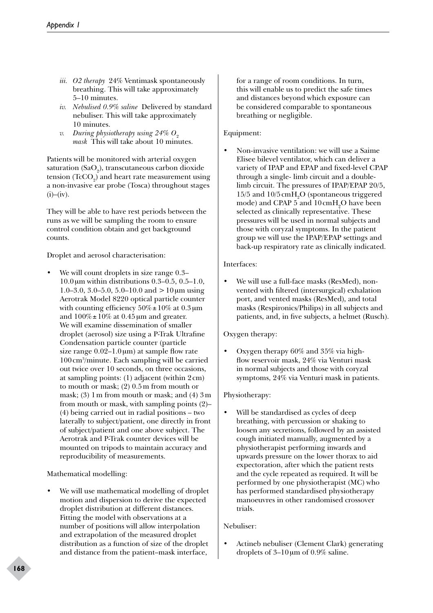- *iii. O2 therapy* 24% Ventimask spontaneously breathing. This will take approximately 5–10 minutes.
- *iv. Nebulised 0.9% saline* Delivered by standard nebuliser. This will take approximately 10 minutes.
- *v. During physiotherapy using 24% O<sub>2</sub> mask* This will take about 10 minutes.

Patients will be monitored with arterial oxygen saturation (SaO<sub>2</sub>), transcutaneous carbon dioxide tension  $(TcCO<sub>2</sub>)$  and heart rate measurement using a non-invasive ear probe (Tosca) throughout stages  $(i)$ – $(iv)$ .

They will be able to have rest periods between the runs as we will be sampling the room to ensure control condition obtain and get background counts.

Droplet and aerosol characterisation:

We will count droplets in size range  $0.3-$ 10.0µm within distributions 0.3–0.5, 0.5–1.0, 1.0–3.0, 3.0–5.0, 5.0–10.0 and  $>10 \mu m$  using Aerotrak Model 8220 optical particle counter with counting efficiency  $50\% \pm 10\%$  at 0.3 µm and  $100\% \pm 10\%$  at 0.45 µm and greater. We will examine dissemination of smaller droplet (aerosol) size using a P-Trak Ultrafine Condensation particle counter (particle size range  $0.02-1.0 \,\mathrm{\mu m}$  at sample flow rate 100cm3 /minute. Each sampling will be carried out twice over 10 seconds, on three occasions, at sampling points: (1) adjacent (within 2cm) to mouth or mask; (2) 0.5m from mouth or mask; (3) 1m from mouth or mask; and (4) 3m from mouth or mask, with sampling points (2)– (4) being carried out in radial positions – two laterally to subject/patient, one directly in front of subject/patient and one above subject. The Aerotrak and P-Trak counter devices will be mounted on tripods to maintain accuracy and reproducibility of measurements.

Mathematical modelling:

We will use mathematical modelling of droplet motion and dispersion to derive the expected droplet distribution at different distances. Fitting the model with observations at a number of positions will allow interpolation and extrapolation of the measured droplet distribution as a function of size of the droplet and distance from the patient–mask interface,

for a range of room conditions. In turn, this will enable us to predict the safe times and distances beyond which exposure can be considered comparable to spontaneous breathing or negligible.

# Equipment:

• Non-invasive ventilation: we will use a Saime Elisee bilevel ventilator, which can deliver a variety of IPAP and EPAP and fixed-level CPAP through a single- limb circuit and a doublelimb circuit. The pressures of IPAP/EPAP 20/5, 15/5 and  $10/5 \text{ cm}$ H<sub>2</sub>O (spontaneous triggered mode) and CPAP 5 and  $10 \text{cm} \text{H}_{2}\text{O}$  have been selected as clinically representative. These pressures will be used in normal subjects and those with coryzal symptoms. In the patient group we will use the IPAP/EPAP settings and back-up respiratory rate as clinically indicated.

# Interfaces:

• We will use a full-face masks (ResMed), nonvented with filtered (intersurgical) exhalation port, and vented masks (ResMed), and total masks (Respironics/Philips) in all subjects and patients, and, in five subjects, a helmet (Rusch).

Oxygen therapy:

• Oxygen therapy 60% and 35% via highflow reservoir mask, 24% via Venturi mask in normal subjects and those with coryzal symptoms, 24% via Venturi mask in patients.

# Physiotherapy:

Will be standardised as cycles of deep breathing, with percussion or shaking to loosen any secretions, followed by an assisted cough initiated manually, augmented by a physiotherapist performing inwards and upwards pressure on the lower thorax to aid expectoration, after which the patient rests and the cycle repeated as required. It will be performed by one physiotherapist (MC) who has performed standardised physiotherapy manoeuvres in other randomised crossover trials.

# Nebuliser:

• Actineb nebuliser (Clement Clark) generating droplets of 3–10µm of 0.9% saline.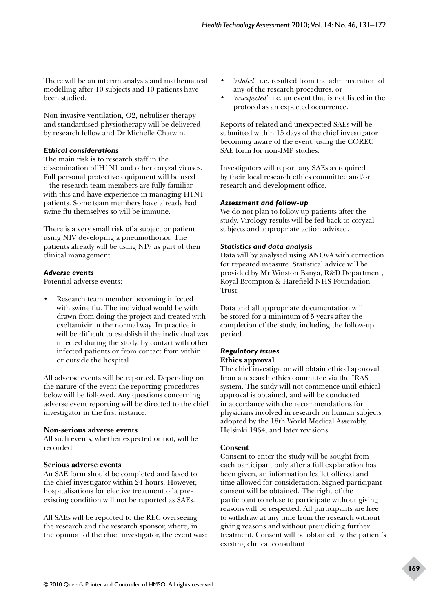There will be an interim analysis and mathematical modelling after 10 subjects and 10 patients have been studied.

Non-invasive ventilation, O2, nebuliser therapy and standardised physiotherapy will be delivered by research fellow and Dr Michelle Chatwin.

## *Ethical considerations*

The main risk is to research staff in the dissemination of H1N1 and other coryzal viruses. Full personal protective equipment will be used – the research team members are fully familiar with this and have experience in managing H1N1 patients. Some team members have already had swine flu themselves so will be immune.

There is a very small risk of a subject or patient using NIV developing a pneumothorax. The patients already will be using NIV as part of their clinical management.

## *Adverse events*

Potential adverse events:

• Research team member becoming infected with swine flu. The individual would be with drawn from doing the project and treated with oseltamivir in the normal way. In practice it will be difficult to establish if the individual was infected during the study, by contact with other infected patients or from contact from within or outside the hospital

All adverse events will be reported. Depending on the nature of the event the reporting procedures below will be followed. Any questions concerning adverse event reporting will be directed to the chief investigator in the first instance.

## **Non-serious adverse events**

All such events, whether expected or not, will be recorded.

## **Serious adverse events**

An SAE form should be completed and faxed to the chief investigator within 24 hours. However, hospitalisations for elective treatment of a preexisting condition will not be reported as SAEs.

All SAEs will be reported to the REC overseeing the research and the research sponsor, where, in the opinion of the chief investigator, the event was:

- '*related*' i.e. resulted from the administration of any of the research procedures, or
- '*unexpected*' i.e. an event that is not listed in the protocol as an expected occurrence.

Reports of related and unexpected SAEs will be submitted within 15 days of the chief investigator becoming aware of the event, using the COREC SAE form for non-IMP studies.

Investigators will report any SAEs as required by their local research ethics committee and/or research and development office.

## *Assessment and follow-up*

We do not plan to follow up patients after the study. Virology results will be fed back to coryzal subjects and appropriate action advised.

## *Statistics and data analysis*

Data will by analysed using ANOVA with correction for repeated measure. Statistical advice will be provided by Mr Winston Banya, R&D Department, Royal Brompton & Harefield NHS Foundation Trust.

Data and all appropriate documentation will be stored for a minimum of 5 years after the completion of the study, including the follow-up period.

## *Regulatory issues* **Ethics approval**

The chief investigator will obtain ethical approval from a research ethics committee via the IRAS system. The study will not commence until ethical approval is obtained, and will be conducted in accordance with the recommendations for physicians involved in research on human subjects adopted by the 18th World Medical Assembly, Helsinki 1964, and later revisions.

## **Consent**

Consent to enter the study will be sought from each participant only after a full explanation has been given, an information leaflet offered and time allowed for consideration. Signed participant consent will be obtained. The right of the participant to refuse to participate without giving reasons will be respected. All participants are free to withdraw at any time from the research without giving reasons and without prejudicing further treatment. Consent will be obtained by the patient's existing clinical consultant.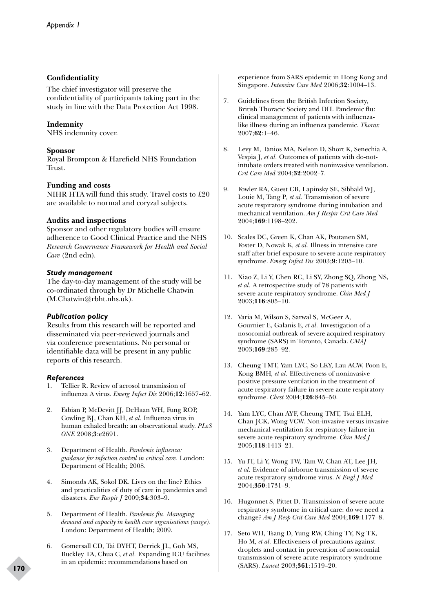## **Confidentiality**

The chief investigator will preserve the confidentiality of participants taking part in the study in line with the Data Protection Act 1998.

## **Indemnity**

NHS indemnity cover.

## **Sponsor**

Royal Brompton & Harefield NHS Foundation Trust.

## **Funding and costs**

NIHR HTA will fund this study. Travel costs to £20 are available to normal and coryzal subjects.

## **Audits and inspections**

Sponsor and other regulatory bodies will ensure adherence to Good Clinical Practice and the NHS *Research Governance Framework for Health and Social Care* (2nd edn).

## *Study management*

The day-to-day management of the study will be co-ordinated through by Dr Michelle Chatwin (M.Chatwin@rbht.nhs.uk).

# *Publication policy*

Results from this research will be reported and disseminated via peer-reviewed journals and via conference presentations. No personal or identifiable data will be present in any public reports of this research.

## *References*

- 1. Tellier R. Review of aerosol transmission of influenza A virus. *Emerg Infect Dis* 2006;**12**:1657–62.
- 2. Fabian P, McDevitt JJ, DeHaan WH, Fung ROP, Cowling BJ, Chan KH, *et al.* Influenza virus in human exhaled breath: an observational study. *PLoS ONE* 2008;**3**:e2691.
- 3. Department of Health. *Pandemic influenza: guidance for infection control in critical care*. London: Department of Health; 2008.
- 4. Simonds AK, Sokol DK. Lives on the line? Ethics and practicalities of duty of care in pandemics and disasters. *Eur Respir J* 2009;**34**:303–9.
- 5. Department of Health. *Pandemic flu. Managing demand and capacity in health care organisations (surge)*. London: Department of Health; 2009.
- 6. Gomersall CD, Tai DYHT, Derrick JL, Goh MS, Buckley TA, Chua C*, et al.* Expanding ICU facilities in an epidemic: recommendations based on

experience from SARS epidemic in Hong Kong and Singapore. *Intensive Care Med* 2006;**32**:1004–13.

- 7. Guidelines from the British Infection Society, British Thoracic Society and DH. Pandemic flu: clinical management of patients with influenzalike illness during an influenza pandemic. *Thorax* 2007;**62**:1–46.
- 8. Levy M, Tanios MA, Nelson D, Short K, Senechia A, Vespia J*, et al.* Outcomes of patients with do-notintubate orders treated with noninvasive ventilation. *Crit Care Med* 2004;**32**:2002–7.
- 9. Fowler RA, Guest CB, Lapinsky SE, Sibbald WJ, Louie M, Tang P*, et al.* Transmission of severe acute respiratory syndrome during intubation and mechanical ventilation. *Am J Respir Crit Care Med* 2004;**169**:1198–202.
- 10. Scales DC, Green K, Chan AK, Poutanen SM, Foster D, Nowak K*, et al.* Illness in intensive care staff after brief exposure to severe acute respiratory syndrome. *Emerg Infect Dis* 2003;**9**:1205–10.
- 11. Xiao Z, Li Y, Chen RC, Li SY, Zhong SQ, Zhong NS, *et al.* A retrospective study of 78 patients with severe acute respiratory syndrome. *Chin Med J* 2003;**116**:805–10.
- 12. Varia M, Wilson S, Sarwal S, McGeer A, Gournier E, Galanis E*, et al.* Investigation of a nosocomial outbreak of severe acquired respiratory syndrome (SARS) in Toronto, Canada. *CMAJ* 2003;**169**:285–92.
- 13. Cheung TMT, Yam LYC, So LKY, Lau ACW, Poon E, Kong BMH*, et al.* Effectiveness of noninvasive positive pressure ventilation in the treatment of acute respiratory failure in severe acute respiratory syndrome. *Chest* 2004;**126**:845–50.
- 14. Yam LYC, Chan AYF, Cheung TMT, Tsui ELH, Chan JCK, Wong VCW. Non-invasive versus invasive mechanical ventilation for respiratory failure in severe acute respiratory syndrome. *Chin Med J* 2005;**118**:1413–21.
- 15. Yu IT, Li Y, Wong TW, Tam W, Chan AT, Lee JH*, et al.* Evidence of airborne transmission of severe acute respiratory syndrome virus. *N Engl J Med* 2004;**350**:1731–9.
- 16. Hugonnet S, Pittet D. Transmission of severe acute respiratory syndrome in critical care: do we need a change? *Am J Resp Crit Care Med* 2004;**169**:1177–8.
- 17. Seto WH, Tsang D, Yung RW, Ching TY, Ng TK, Ho M*, et al.* Effectiveness of precautions against droplets and contact in prevention of nosocomial transmission of severe acute respiratory syndrome (SARS). *Lancet* 2003;**361**:1519–20.